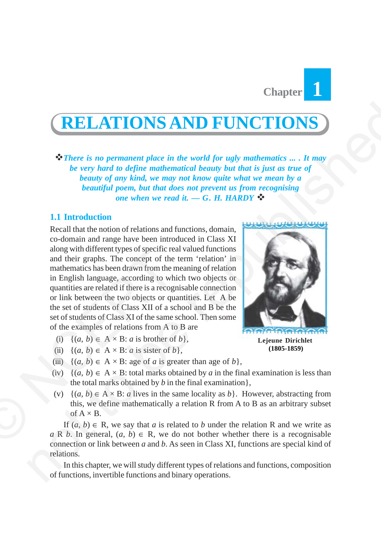

# **RELATIONS AND FUNCTIONS**

*There is no permanent place in the world for ugly mathematics ... . It may be very hard to define mathematical beauty but that is just as true of beauty of any kind, we may not know quite what we mean by a beautiful poem, but that does not prevent us from recognising one when we read it. — G. H. HARDY*

## **1.1 Introduction**

Recall that the notion of relations and functions, domain, co-domain and range have been introduced in Class XI along with different types of specific real valued functions and their graphs. The concept of the term 'relation' in mathematics has been drawn from the meaning of relation in English language, according to which two objects or quantities are related if there is a recognisable connection or link between the two objects or quantities. Let A be the set of students of Class XII of a school and B be the set of students of Class XI of the same school. Then some of the examples of relations from A to B are along with dirierent types or specific rea<br>
and their graphs. The concept of the<br>
mathematics has been drawn from the r<br>
in English language, according to wh<br>
quantities are related if there is a recogn<br>
or link between t **(RELATIONS AND FUNCTIONS)**<br>
There is no permanent place in the world for negly mathematics ..., It may<br>be very hard to define mathematical beauty but that it just as the complete<br>
because of a dependent of the mathematic

- (i)  $\{(a, b) \in A \times B : a \text{ is brother of } b\},\$
- (ii)  $\{(a, b) \in A \times B: a \text{ is sister of } b\},\$
- (iii)  $\{(a, b) \in A \times B$ : age of *a* is greater than age of *b*,
- (iv)  $\{(a, b) \in A \times B$ : total marks obtained by *a* in the final examination is less than the total marks obtained by *b* in the final examination},
- (v)  $\{(a, b) \in A \times B$ : *a* lives in the same locality as *b* }. However, abstracting from this, we define mathematically a relation R from A to B as an arbitrary subset of  $A \times B$ .

If  $(a, b) \in \mathbb{R}$ , we say that *a* is related to *b* under the relation R and we write as  $a \, R \, b$ . In general,  $(a, b) \in R$ , we do not bother whether there is a recognisable connection or link between *a* and *b*. As seen in Class XI, functions are special kind of relations.

In this chapter, we will study different types of relations and functions, composition of functions, invertible functions and binary operations.



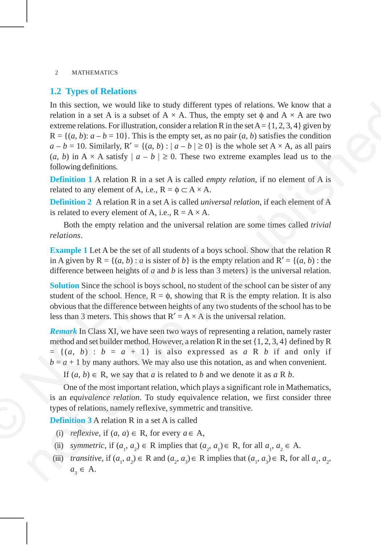## **1.2 Types of Relations**

In this section, we would like to study different types of relations. We know that a relation in a set A is a subset of  $A \times A$ . Thus, the empty set  $\phi$  and  $A \times A$  are two extreme relations. For illustration, consider a relation R in the set  $A = \{1, 2, 3, 4\}$  given by  $R = \{(a, b): a - b = 10\}$ . This is the empty set, as no pair  $(a, b)$  satisfies the condition  $a - b = 10$ . Similarly,  $R' = \{(a, b) : |a - b| \ge 0\}$  is the whole set  $A \times A$ , as all pairs (*a*, *b*) in A  $\times$  A satisfy  $|a - b| \ge 0$ . These two extreme examples lead us to the following definitions. In this section, we would like to study different types of relations. We know that<br>
relation in a set A is a subset of A  $\times$  A. Thus, the empty set o and A  $\times$  A are two<br>
extreme relations. For illustration, consider ar

**Definition 1** A relation R in a set A is called *empty relation*, if no element of A is related to any element of A, i.e.,  $R = \phi \subset A \times A$ .

**Definition 2**A relation R in a set A is called *universal relation*, if each element of A is related to every element of A, i.e.,  $R = A \times A$ .

Both the empty relation and the universal relation are some times called *trivial relations*.

**Example 1** Let A be the set of all students of a boys school. Show that the relation R in A given by  $R = \{(a, b) : a$  is sister of *b*} is the empty relation and  $R' = \{(a, b) : the$ difference between heights of *a* and *b* is less than 3 meters} is the universal relation.

**Solution** Since the school is boys school, no student of the school can be sister of any student of the school. Hence,  $R = \phi$ , showing that R is the empty relation. It is also obvious that the difference between heights of any two students of the school has to be less than 3 meters. This shows that  $R' = A \times A$  is the universal relation.

*Remark* In Class XI, we have seen two ways of representing a relation, namely raster method and set builder method. However, a relation R in the set {1, 2, 3, 4} defined by R  $= \{(a, b) : b = a + 1\}$  is also expressed as *a* R *b* if and only if  $b = a + 1$  by many authors. We may also use this notation, as and when convenient. **Example 1** Let A be the set of all stud<br>in A given by R = {(a, b) : a is sister c<br>difference between heights of a and b<br>Solution Since the school is boys sch<br>student of the school. Hence, R =  $\phi$ , s<br>obvious that the dif

If  $(a, b) \in R$ , we say that *a* is related to *b* and we denote it as *a* R *b*.

One of the most important relation, which plays a significant role in Mathematics, is an *equivalence relation*. To study equivalence relation, we first consider three types of relations, namely reflexive, symmetric and transitive.

**Definition 3** A relation R in a set A is called

- (i) *reflexive*, if  $(a, a) \in \mathbb{R}$ , for every  $a \in \mathbb{A}$ ,
- (ii) *symmetric*, if  $(a_1, a_2) \in \mathbb{R}$  implies that  $(a_2, a_1) \in \mathbb{R}$ , for all  $a_1, a_2 \in \mathbb{A}$ .
- (iii) *transitive*, if  $(a_1, a_2) \in \mathbb{R}$  and  $(a_2, a_3) \in \mathbb{R}$  implies that  $(a_1, a_3) \in \mathbb{R}$ , for all  $a_1, a_2$ ,  $a_{2} \in A$ .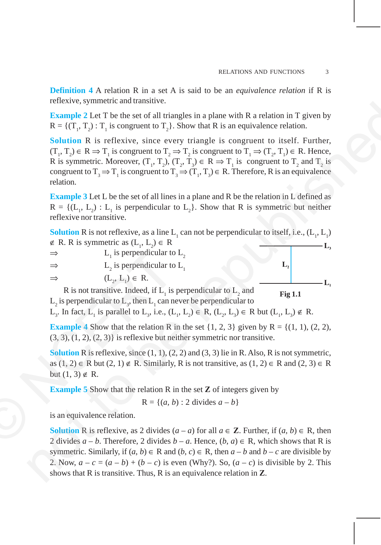**Definition 4** A relation R in a set A is said to be an *equivalence relation* if R is reflexive, symmetric and transitive.

**Example 2** Let T be the set of all triangles in a plane with R a relation in T given by  $R = \{(T_1, T_2) : T_1$  is congruent to  $T_2\}$ . Show that R is an equivalence relation.

**Solution** R is reflexive, since every triangle is congruent to itself. Further,  $(T_1, T_2) \in R \Rightarrow T_1$  is congruent to  $T_2 \Rightarrow T_2$  is congruent to  $T_1 \Rightarrow (T_2, T_1) \in R$ . Hence, R is symmetric. Moreover,  $(T_1, T_2), (T_2, T_3) \in R \Rightarrow T_1$  is congruent to  $T_2$  and  $T_2$  is congruent to  $T_3 \Rightarrow T_1$  is congruent to  $T_3 \Rightarrow (T_1, T_3) \in R$ . Therefore, R is an equivalence relation.

**Example 3** Let L be the set of all lines in a plane and R be the relation in L defined as  $R = \{ (L_1, L_2) : L_1 \text{ is perpendicular to } L_2 \}.$  Show that R is symmetric but neither reflexive nor transitive.

**Solution** R is not reflexive, as a line  $L_1$  can not be perpendicular to itself, i.e.,  $(L_1, L_1)$ ∉ R. R is symmetric as  $(L_1, L_2) \in R$  $\Rightarrow$  L<sub>1</sub> is perpendicular to L<sub>2</sub>  $\Rightarrow$  L<sub>2</sub> is perpendicular to L<sub>1</sub>  $\Rightarrow$   $(L_2, L_1) \in R$ . R is not transitive. Indeed, if  $L_1$  is perpendicular to  $L_2$  and  $L_2$  is perpendicular to  $L_3$ , then  $L_1$  can never be perpendicular to **Fig 1.1** ⇒ L<sub>1</sub> is perpendicular to<br>
⇒ L<sub>2</sub> is perpendicular to<br>
⇒ L<sub>2</sub> is perpendicular to<br>
⇒ (L<sub>2</sub>, L<sub>1</sub>) ∈ R.<br>
R is not transitive. Indeed, if L<sub>1</sub> is<br>
L<sub>2</sub> is perpendicular to L<sub>3</sub>, then L<sub>1</sub> can no<br>
L<sub>3</sub>. In fact, L<sub>1</sub> is pa Fractive, symmetric and cannotesize and pairs is a plane with R a relation in T given by  $R = ((T_1, T_2) : T_1$  is congruent to  $T_2$ . Show that Rs is an equivalence relation.<br>
Solution R is reflexive, since  $\text{evever}, T_1, T_2, T_$ 

L<sub>3</sub>. In fact, L<sub>1</sub> is parallel to L<sub>3</sub>, i.e.,  $(L_1, L_2) \in R$ ,  $(L_2, L_3) \in R$  but  $(L_1, L_3) \notin R$ .

**Example 4** Show that the relation R in the set  $\{1, 2, 3\}$  given by  $R = \{(1, 1), (2, 2),\}$  $(3, 3), (1, 2), (2, 3)$  is reflexive but neither symmetric nor transitive.

**Solution** R is reflexive, since  $(1, 1)$ ,  $(2, 2)$  and  $(3, 3)$  lie in R. Also, R is not symmetric, as  $(1, 2) \in \mathbb{R}$  but  $(2, 1) \notin \mathbb{R}$ . Similarly, R is not transitive, as  $(1, 2) \in \mathbb{R}$  and  $(2, 3) \in \mathbb{R}$ but  $(1, 3) \notin R$ .

**Example 5** Show that the relation R in the set **Z** of integers given by

 $R = \{(a, b) : 2 \text{ divides } a - b\}$ 

is an equivalence relation.

**Solution** R is reflexive, as 2 divides  $(a - a)$  for all  $a \in \mathbb{Z}$ . Further, if  $(a, b) \in \mathbb{R}$ , then 2 divides  $a - b$ . Therefore, 2 divides  $b - a$ . Hence,  $(b, a) \in R$ , which shows that R is symmetric. Similarly, if  $(a, b) \in R$  and  $(b, c) \in R$ , then  $a - b$  and  $b - c$  are divisible by 2. Now,  $a - c = (a - b) + (b - c)$  is even (Why?). So,  $(a - c)$  is divisible by 2. This shows that R is transitive. Thus, R is an equivalence relation in **Z**.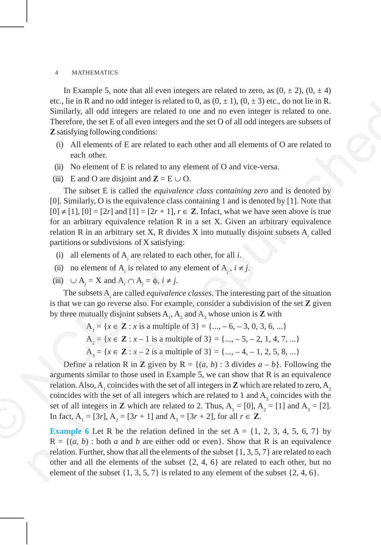In Example 5, note that all even integers are related to zero, as  $(0, \pm 2)$ ,  $(0, \pm 4)$ etc., lie in R and no odd integer is related to 0, as  $(0, \pm 1)$ ,  $(0, \pm 3)$  etc., do not lie in R. Similarly, all odd integers are related to one and no even integer is related to one. Therefore, the set E of all even integers and the set O of all odd integers are subsets of **Z** satisfying following conditions:

- (i) All elements of E are related to each other and all elements of O are related to each other.
- (ii) No element of E is related to any element of O and vice-versa.
- (iii) E and O are disjoint and  $\mathbf{Z} = \mathbf{E} \cup \mathbf{O}$ .

The subset E is called the *equivalence class containing zero* and is denoted by [0]. Similarly, O is the equivalence class containing 1 and is denoted by [1]. Note that  $[0] \neq [1]$ ,  $[0] = [2r]$  and  $[1] = [2r + 1]$ ,  $r \in \mathbb{Z}$ . Infact, what we have seen above is true for an arbitrary equivalence relation R in a set X. Given an arbitrary equivalence relation R in an arbitrary set X, R divides X into mutually disjoint subsets A<sub>i</sub> called partitions or subdivisions of X satisfying:

- (i) all elements of  $A_i$  are related to each other, for all *i*.
- (ii) no element of A<sub>*i*</sub> is related to any element of A<sub>*j*</sub>,  $i \neq j$ .
- (iii)  $\cup$  A<sub>*j*</sub> = X and A<sub>*i*</sub>  $\cap$  A<sub>*j*</sub> =  $\phi$ , *i* ≠ *j*.

The subsets A*<sup>i</sup>* are called *equivalence classes*. The interesting part of the situation is that we can go reverse also. For example, consider a subdivision of the set **Z** given by three mutually disjoint subsets  $A_1$ ,  $A_2$  and  $A_3$  whose union is **Z** with

$$
A1 = \{x \in \mathbb{Z} : x \text{ is a multiple of } 3\} = \{\dots, -6, -3, 0, 3, 6, \dots\}
$$

$$
A2 = \{x \in \mathbb{Z} : x - 1 \text{ is a multiple of } 3\} = \{\dots, -5, -2, 1, 4, 7, \dots\}
$$

 $A_3 = \{x \in \mathbb{Z} : x - 2 \text{ is a multiple of } 3\} = \{\dots, -4, -1, 2, 5, 8, \dots\}$ 

Define a relation R in **Z** given by  $R = \{(a, b) : 3 \text{ divides } a - b\}$ . Following the arguments similar to those used in Example 5, we can show that R is an equivalence relation. Also,  $A_1$  coincides with the set of all integers in  $\mathbf Z$  which are related to zero,  $A_2$ coincides with the set of all integers which are related to 1 and  $A_3$  coincides with the set of all integers in **Z** which are related to 2. Thus,  $A_1 = [0], A_2 = [1]$  and  $A_3 = [2]$ . In fact, A<sub>1</sub> = [3*r*], A<sub>2</sub> = [3*r* + 1] and A<sub>3</sub> = [3*r* + 2], for all *r* ∈ **Z**. (i) all elements of  $A_i$  are related to<br>
(ii) no element of  $A_i$  is related to ar<br>
(iii)  $\cup A_j = X$  and  $A_i \cap A_j = \phi$ ,  $i \neq j$ <br>
The subsets  $A_i$  are called *equivales*<br>
is that we can go reverse also. For exa<br>
by three mutual ex, i.e. in a valuation out unique is related to one and the other  $1/\sqrt{v} = 2$  per sect of the republished in the republished in the republished in the republished in the republished in the republished of  $\overline{B}$ . All ot

**Example 6** Let R be the relation defined in the set  $A = \{1, 2, 3, 4, 5, 6, 7\}$  by  $R = \{(a, b) : \text{both } a \text{ and } b \text{ are either odd or even}\}.$  Show that R is an equivalence relation. Further, show that all the elements of the subset  $\{1, 3, 5, 7\}$  are related to each other and all the elements of the subset {2, 4, 6} are related to each other, but no element of the subset  $\{1, 3, 5, 7\}$  is related to any element of the subset  $\{2, 4, 6\}$ .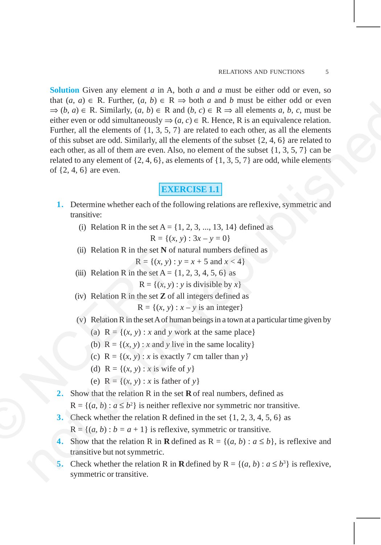**Solution** Given any element *a* in A, both *a* and *a* must be either odd or even, so that  $(a, a) \in R$ . Further,  $(a, b) \in R \Rightarrow$  both *a* and *b* must be either odd or even  $\Rightarrow$  (*b*, *a*) ∈ R. Similarly, (*a*, *b*) ∈ R and (*b*, *c*) ∈ R  $\Rightarrow$  all elements *a*, *b*, *c*, must be either even or odd simultaneously  $\Rightarrow$   $(a, c) \in \mathbb{R}$ . Hence, R is an equivalence relation. Further, all the elements of  $\{1, 3, 5, 7\}$  are related to each other, as all the elements of this subset are odd. Similarly, all the elements of the subset  $\{2, 4, 6\}$  are related to each other, as all of them are even. Also, no element of the subset {1, 3, 5, 7} can be related to any element of  $\{2, 4, 6\}$ , as elements of  $\{1, 3, 5, 7\}$  are odd, while elements of {2, 4, 6} are even. matrix  $(u_1, u_2) = k \sinh(u_1)$ ,  $(u_2, u_3) = k \sinh(u_3)$ ,  $(u_4, u_5) \in \mathbb{R}$  and  $(h, a) \in \mathbb{R}$ . Similarly,  $(u, b) \in \mathbb{R}$  and  $(\theta, b) \in \mathbb{R}$ . Howev, R is an equivalence relation<br>Further, all the elements of 1, 3, 3, 7) are relat

# **EXERCISE 1.1**

- **1.** Determine whether each of the following relations are reflexive, symmetric and transitive:
	- (i) Relation R in the set  $A = \{1, 2, 3, ..., 13, 14\}$  defined as

$$
R = \{(x, y) : 3x - y = 0\}
$$

- (ii) Relation R in the set **N** of natural numbers defined as  $R = \{(x, y) : y = x + 5 \text{ and } x < 4\}$ (ii) Relation R in the set N of<br>  $R = \{(x, y) :$ <br>
(iii) Relation R in the set A =  $\{R = \{(x, y) \} :$ <br>
(iv) Relation R in the set Z of<br>  $R = \{(x, y) \}$ <br>
(v) Relation R in the set A of h<br>
(a)  $R = \{(x, y) : x \text{ and } y \}$ <br>
(b)  $R = \{(x, y) : x \text{ and$ 
	- (iii) Relation R in the set  $A = \{1, 2, 3, 4, 5, 6\}$  as

 $R = \{(x, y) : y \text{ is divisible by } x\}$ 

(iv) Relation R in the set **Z** of all integers defined as

 $R = \{(x, y) : x - y \text{ is an integer}\}\$ 

- (v) Relation R in the set A of human beings in a town at a particular time given by
	- (a)  $R = \{(x, y) : x \text{ and } y \text{ work at the same place}\}\$
	- (b)  $R = \{(x, y) : x \text{ and } y \text{ live in the same locality}\}\$
	- (c)  $R = \{(x, y) : x \text{ is exactly } 7 \text{ cm taller than } y\}$
	- (d)  $R = \{(x, y) : x \text{ is wife of } y\}$
	- (e)  $R = \{(x, y) : x \text{ is father of } y\}$
- **2.** Show that the relation R in the set **R** of real numbers, defined as
	- $R = \{(a, b) : a \leq b^2\}$  is neither reflexive nor symmetric nor transitive.
- **3.** Check whether the relation R defined in the set {1, 2, 3, 4, 5, 6} as
	- $R = \{(a, b) : b = a + 1\}$  is reflexive, symmetric or transitive.
- **4.** Show that the relation R in **R** defined as  $R = \{(a, b) : a \le b\}$ , is reflexive and transitive but not symmetric.
- **5.** Check whether the relation R in **R** defined by  $R = \{(a, b) : a \le b^3\}$  is reflexive, symmetric or transitive.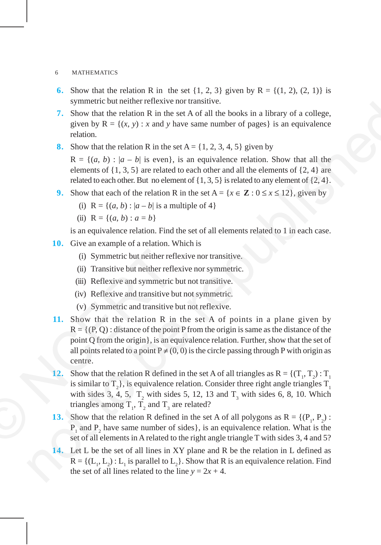- **6.** Show that the relation R in the set  $\{1, 2, 3\}$  given by  $R = \{(1, 2), (2, 1)\}$  is symmetric but neither reflexive nor transitive.
- **7.** Show that the relation R in the set A of all the books in a library of a college, given by  $R = \{(x, y) : x \text{ and } y \text{ have same number of pages}\}\)$  is an equivalence relation.
- **8.** Show that the relation R in the set  $A = \{1, 2, 3, 4, 5\}$  given by

 $R = \{(a, b) : |a - b| \text{ is even}\},\$ is an equivalence relation. Show that all the elements of  $\{1, 3, 5\}$  are related to each other and all the elements of  $\{2, 4\}$  are related to each other. But no element of  $\{1, 3, 5\}$  is related to any element of  $\{2, 4\}$ .

- **9.** Show that each of the relation R in the set  $A = \{x \in \mathbb{Z} : 0 \le x \le 12\}$ , given by
	- (i)  $R = \{(a, b) : |a b| \text{ is a multiple of } 4\}$
	- (ii)  $R = \{(a, b) : a = b\}$

is an equivalence relation. Find the set of all elements related to 1 in each case.

- **10.** Give an example of a relation. Which is
	- (i) Symmetric but neither reflexive nor transitive.
	- (ii) Transitive but neither reflexive nor symmetric.
	- (iii) Reflexive and symmetric but not transitive.
	- (iv) Reflexive and transitive but not symmetric.
	- (v) Symmetric and transitive but not reflexive.
- **11.** Show that the relation R in the set A of points in a plane given by  $R = \{(P, Q) :$  distance of the point P from the origin is same as the distance of the point Q from the origin}, is an equivalence relation. Further, show that the set of all points related to a point  $P \neq (0, 0)$  is the circle passing through P with origin as centre. (i) Symmetric but neither ref<br>
(ii) Transitive but neither refl<br>
(iii) Reflexive and symmetric<br>
(iv) Reflexive and transitive b<br>
(v) Symmetric and transitive b<br>
(v) Symmetric and transitive b<br>
11. Show that the relation R symmetric out antitude method in the back of all the back in a library of a college,<br>
7. Show that the trelation R in the set A of all the brocks in a library of a college,<br>
given by R =  $\{ (x, y) : x$  and y have same number
	- **12.** Show that the relation R defined in the set A of all triangles as  $R = \{(T_1, T_2) : T_1\}$ is similar to  $T_2$ , is equivalence relation. Consider three right angle triangles  $T_1$ with sides 3, 4, 5,  $T_2$  with sides 5, 12, 13 and  $T_3$  with sides 6, 8, 10. Which triangles among  $T_1$ ,  $T_2$  and  $T_3$  are related?
	- **13.** Show that the relation R defined in the set A of all polygons as  $R = \{(P_1, P_2)$ :  $P_1$  and  $P_2$  have same number of sides}, is an equivalence relation. What is the set of all elements in A related to the right angle triangle T with sides 3, 4 and 5?
	- **14.** Let L be the set of all lines in XY plane and R be the relation in L defined as  $R = \{(L_1, L_2) : L_1$  is parallel to  $L_2\}$ . Show that R is an equivalence relation. Find the set of all lines related to the line  $y = 2x + 4$ .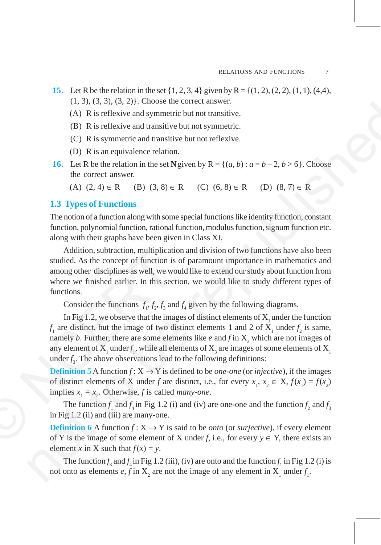- **15.** Let R be the relation in the set  $\{1, 2, 3, 4\}$  given by R =  $\{(1, 2), (2, 2), (1, 1), (4,4),$ (1, 3), (3, 3), (3, 2)}. Choose the correct answer.
	- (A) R is reflexive and symmetric but not transitive.
	- (B) R is reflexive and transitive but not symmetric.
	- (C) R is symmetric and transitive but not reflexive.
	- (D) R is an equivalence relation.
- **16.** Let R be the relation in the set N given by  $R = \{(a, b) : a = b 2, b > 6\}$ . Choose the correct answer.

(A)  $(2, 4) \in R$  (B)  $(3, 8) \in R$  (C)  $(6, 8) \in R$  (D)  $(8, 7) \in R$ 

## **1.3 Types of Functions**

The notion of a function along with some special functions like identity function, constant function, polynomial function, rational function, modulus function, signum function etc. along with their graphs have been given in Class XI.

Addition, subtraction, multiplication and division of two functions have also been studied. As the concept of function is of paramount importance in mathematics and among other disciplines as well, we would like to extend our study about function from where we finished earlier. In this section, we would like to study different types of functions.

Consider the functions  $f_1, f_2, f_3$  and  $f_4$  given by the following diagrams.

In Fig 1.2, we observe that the images of distinct elements of  $X_1$  under the function  $f_1$  are distinct, but the image of two distinct elements 1 and 2 of  $X_1$  under  $f_2$  is same, namely *b*. Further, there are some elements like *e* and  $f$  in  $X_2$  which are not images of any element of  $\mathbf{X}_{1}$  under $f_{1}$ , while all elements of  $\mathbf{X}_{3}$  are images of some elements of  $\mathbf{X}_{1}$ under  $f_3$ . The above observations lead to the following definitions: Addition, subtraction, multiplicati<br>studied. As the concept of function is<br>among other disciplines as well, we we<br>where we finished earlier. In this sect<br>functions.<br>Consider the functions  $f_1, f_2, f_3$  an<br>In Fig 1.2, we o (1.3), 0.3, 2), 1.3(1.4)). Tombes the contest answer.<br>
(A) R is reflexive and symmetric hut not transitive.<br>
(B) R is reflexive and symmetric but not reflexive.<br>
(C) R is symmetric and transitive but not reflexive.<br>
(C) R

**Definition 5** A function  $f: X \rightarrow Y$  is defined to be *one-one* (or *injective*), if the images of distinct elements of X under *f* are distinct, i.e., for every  $x_1, x_2 \in X$ ,  $f(x_1) = f(x_2)$ implies  $x_1 = x_2$ . Otherwise, f is called *many-one*.

The function  $f_1$  and  $f_4$  in Fig 1.2 (i) and (iv) are one-one and the function  $f_2$  and  $f_3$ in Fig 1.2 (ii) and (iii) are many-one.

**Definition 6** A function  $f: X \to Y$  is said to be *onto* (or *surjective*), if every element of Y is the image of some element of X under *f*, i.e., for every  $y \in Y$ , there exists an element *x* in X such that  $f(x) = y$ .

The function  $f_3$  and  $f_4$  in Fig 1.2 (iii), (iv) are onto and the function  $f_1$  in Fig 1.2 (i) is not onto as elements  $e, f$  in  $X_2$  are not the image of any element in  $X_1$  under  $f_1$ .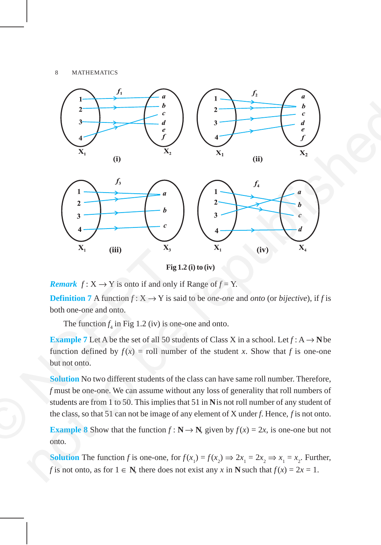

**Fig 1.2 (i) to (iv)**

*Remark*  $f: X \to Y$  is onto if and only if Range of  $f = Y$ .

**Definition 7** A function  $f: X \to Y$  is said to be *one-one* and *onto* (or *bijective*), if *f* is both one-one and onto.

The function  $f_4$  in Fig 1.2 (iv) is one-one and onto.

**Example 7** Let A be the set of all 50 students of Class X in a school. Let  $f : A \rightarrow$  N be function defined by  $f(x) =$  roll number of the student *x*. Show that *f* is one-one but not onto.

**Solution** No two different students of the class can have same roll number. Therefore, *f* must be one-one. We can assume without any loss of generality that roll numbers of students are from 1 to 50. This implies that 51 in **N** is not roll number of any student of the class, so that 51 can not be image of any element of X under *f*. Hence, *f* is not onto. **Example 7** Let A be the set of and only **Example 8** Show that the class, so that 51 can also the class, so that 51 can assume with students are from 1 to 50. This implies the class, so that 51 can not be image of **Exampl** 

**Example 8** Show that the function  $f : \mathbb{N} \to \mathbb{N}$ , given by  $f(x) = 2x$ , is one-one but not onto.

**Solution** The function *f* is one-one, for  $f(x_1) = f(x_2) \Rightarrow 2x_1 = 2x_2 \Rightarrow x_1 = x_2$ . Further, *f* is not onto, as for  $1 \in \mathbb{N}$ , there does not exist any *x* in  $\mathbb{N}$  such that  $f(x) = 2x = 1$ .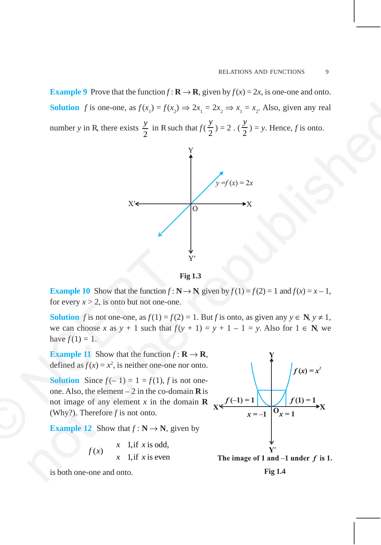**Example 9** Prove that the function  $f: \mathbf{R} \to \mathbf{R}$ , given by  $f(x) = 2x$ , is one-one and onto. **Solution** *f* is one-one, as  $f(x_1) = f(x_2) \Rightarrow 2x_1 = 2x_2 \Rightarrow x_1 = x_2$ . Also, given any real number *y* in R, there exists  $\frac{y}{2}$  in R such that  $f(\frac{y}{2})$ *y* ) = 2. ( $\frac{3}{2}$ ) *y*  $) = y$ . Hence, *f* is onto.





**Example 10** Show that the function  $f : \mathbb{N} \to \mathbb{N}$ , given by  $f(1) = f(2) = 1$  and  $f(x) = x - 1$ , for every  $x > 2$ , is onto but not one-one.

**Solution** *f* is not one-one, as  $f(1) = f(2) = 1$ . But *f* is onto, as given any  $y \in N$ ,  $y \ne 1$ , we can choose *x* as  $y + 1$  such that  $f(y + 1) = y + 1 - 1 = y$ . Also for  $1 \in \mathbb{N}$ , we have  $f(1) = 1$ .

**Example 11** Show that the function  $f : \mathbf{R} \to \mathbf{R}$ , defined as  $f(x) = x^2$ , is neither one-one nor onto.

**Solution** Since  $f(-1) = 1 = f(1)$ , *f* is not oneone. Also, the element  $-2$  in the co-domain **R** is not image of any element *x* in the domain **R** (Why?). Therefore *f* is not onto. **Example 10** Show that the function  $f$ :<br>
for every  $x > 2$ , is onto but not one-on<br> **Solution**  $f$  is not one-one, as  $f(1) = f($ <br>
we can choose  $x$  as  $y + 1$  such that  $f$ <br>
have  $f(1) = 1$ .<br> **Example 11** Show that the funct

**Example 12** Show that  $f : \mathbb{N} \to \mathbb{N}$ , given by

$$
f(x) = \begin{cases} x & \text{1, if } x \text{ is odd,} \\ x & \text{1, if } x \text{ is even} \end{cases}
$$

is both one-one and onto. **Fig 1.4**

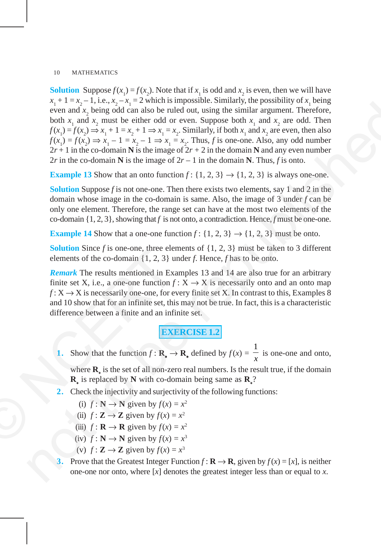**Solution** Suppose  $f(x_1) = f(x_2)$ . Note that if  $x_1$  is odd and  $x_2$  is even, then we will have  $x_1 + 1 = x_2 - 1$ , i.e.,  $x_2 - x_1 = 2$  which is impossible. Similarly, the possibility of  $x_1$  being even and  $x_2$  being odd can also be ruled out, using the similar argument. Therefore, both  $x_1$  and  $x_2$  must be either odd or even. Suppose both  $x_1$  and  $x_2$  are odd. Then  $f(x_1) = f(x_2) \Rightarrow x_1 + 1 = x_2 + 1 \Rightarrow x_1 = x_2$ . Similarly, if both  $x_1$  and  $x_2$  are even, then also  $f(x_1) = f(x_2) \Rightarrow x_1 - 1 = x_2 - 1 \Rightarrow x_1 = x_2$ . Thus, *f* is one-one. Also, any odd number  $2r + 1$  in the co-domain **N** is the image of  $2r + 2$  in the domain **N** and any even number 2*r* in the co-domain **N** is the image of  $2r - 1$  in the domain **N**. Thus, *f* is onto. not to be republished

**Example 13** Show that an onto function  $f: \{1, 2, 3\} \rightarrow \{1, 2, 3\}$  is always one-one.

**Solution** Suppose *f* is not one-one. Then there exists two elements, say 1 and 2 in the domain whose image in the co-domain is same. Also, the image of 3 under *f* can be only one element. Therefore, the range set can have at the most two elements of the co-domain {1, 2, 3}, showing that *f* is not onto, a contradiction. Hence, *f* must be one-one.

**Example 14** Show that a one-one function  $f: \{1, 2, 3\} \rightarrow \{1, 2, 3\}$  must be onto.

**Solution** Since *f* is one-one, three elements of  $\{1, 2, 3\}$  must be taken to 3 different elements of the co-domain {1, 2, 3} under *f*. Hence, *f* has to be onto.

*Remark* The results mentioned in Examples 13 and 14 are also true for an arbitrary finite set X, i.e., a one-one function  $f: X \to X$  is necessarily onto and an onto map  $f: X \to X$  is necessarily one-one, for every finite set X. In contrast to this, Examples 8 and 10 show that for an infinite set, this may not be true. In fact, this is a characteristic difference between a finite and an infinite set. **Solution** Since *f* is one-one, three etected<br>elements of the co-domain {1, 2, 3} u<br>**Remark** The results mentioned in Existincity<br>finite set X, i.e., a one-one function *f*<br> $f: X \rightarrow X$  is necessarily one-one, for er<br>and 10

**EXERCISE 1.2**

**1.** Show that the function  $f : \mathbf{R}_* \to \mathbf{R}_*$  defined by  $f(x) =$ 1  $\frac{1}{x}$  is one-one and onto,

where **R**<sup>∗</sup> is the set of all non-zero real numbers. Is the result true, if the domain **R**∗ is replaced by **N** with co-domain being same as **R**<sup>∗</sup> ?

**2.** Check the injectivity and surjectivity of the following functions:

(i)  $f: \mathbb{N} \to \mathbb{N}$  given by  $f(x) = x^2$ 

- (ii)  $f: \mathbf{Z} \to \mathbf{Z}$  given by  $f(x) = x^2$
- (iii)  $f: \mathbf{R} \to \mathbf{R}$  given by  $f(x) = x^2$
- (iv)  $f: \mathbb{N} \to \mathbb{N}$  given by  $f(x) = x^3$
- (v)  $f: \mathbf{Z} \to \mathbf{Z}$  given by  $f(x) = x^3$
- Prove that the Greatest Integer Function  $f : \mathbf{R} \to \mathbf{R}$ , given by  $f(x) = [x]$ , is neither one-one nor onto, where [*x*] denotes the greatest integer less than or equal to *x*.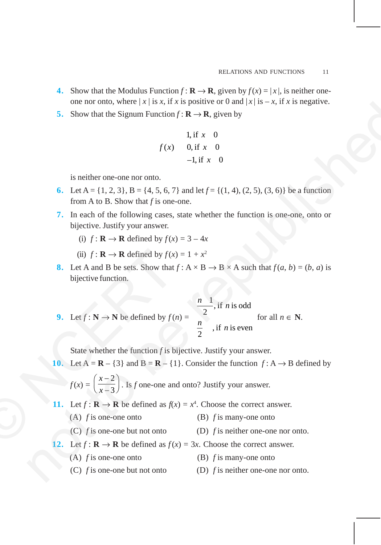- **4.** Show that the Modulus Function  $f: \mathbf{R} \to \mathbf{R}$ , given by  $f(x) = |x|$ , is neither oneone nor onto, where  $|x|$  is *x*, if *x* is positive or 0 and  $|x|$  is  $-x$ , if *x* is negative.
- **5.** Show that the Signum Function  $f : \mathbf{R} \to \mathbf{R}$ , given by

1, if 
$$
x = 0
$$
  
\n $f(x) = 0$ , if  $x = 0$   
\n-1, if  $x = 0$ 

is neither one-one nor onto.

- **6.** Let  $A = \{1, 2, 3\}$ ,  $B = \{4, 5, 6, 7\}$  and let  $f = \{(1, 4), (2, 5), (3, 6)\}$  be a function from A to B. Show that *f* is one-one.
- **7.** In each of the following cases, state whether the function is one-one, onto or bijective. Justify your answer.
	- (i)  $f: \mathbf{R} \to \mathbf{R}$  defined by  $f(x) = 3 4x$
	- (ii)  $f: \mathbf{R} \to \mathbf{R}$  defined by  $f(x) = 1 + x^2$
- **8.** Let A and B be sets. Show that  $f: A \times B \rightarrow B \times A$  such that  $f(a, b) = (b, a)$  is bijective function.
- **9.** Let  $f : \mathbb{N} \to \mathbb{N}$  be defined by  $f(n) =$  $\frac{1}{2}$ , if *n* is odd  $\frac{n}{2}$ , if *n* is even  $\frac{n}{\cdot}$ , if *n*  $\frac{n}{2}$ , if *n* for all  $n \in \mathbb{N}$ . (ii)  $f: \mathbf{R} \to \mathbf{R}$  defined by  $f(x)$ <br>
8. Let A and B be sets. Show that<br>
bijective function.<br>
9. Let  $f: \mathbf{N} \to \mathbf{N}$  be defined by  $f(x)$ <br>
State whether the function f is b<br>
10. Let  $\mathbf{A} = \mathbf{R} - \{3\}$  and  $\mathbf{B}$ 5. Show that the Sigmun Function f; it is a possive or orant, where it is  $x = 4$ , it is a singure.<br>
5. Show that the Sigmun Function f; it is  $\alpha$  if  $x = 0$ <br>
i. if  $x = 0$ <br>
i. if  $x = 0$ <br>
i. if  $x = 0$ <br>
i. it is one or one

State whether the function *f* is bijective. Justify your answer.

**10.** Let  $A = \mathbf{R} - \{3\}$  and  $B = \mathbf{R} - \{1\}$ . Consider the function  $f : A \rightarrow B$  defined by

 $f(x) =$ 2 3 *x*  $\left(\frac{x-2}{x-3}\right)$ . Is *f* one-one and onto? Justify your answer.

- **11.** Let  $f: \mathbf{R} \to \mathbf{R}$  be defined as  $f(x) = x^4$ . Choose the correct answer.
	- (A) *f* is one-one onto (B) *f* is many-one onto
	- (C) *f* is one-one but not onto (D) *f* is neither one-one nor onto.
- **12.** Let  $f: \mathbf{R} \to \mathbf{R}$  be defined as  $f(x) = 3x$ . Choose the correct answer.
	- (A) *f* is one-one onto (B) *f* is many-one onto
	- (C) *f* is one-one but not onto (D) *f* is neither one-one nor onto.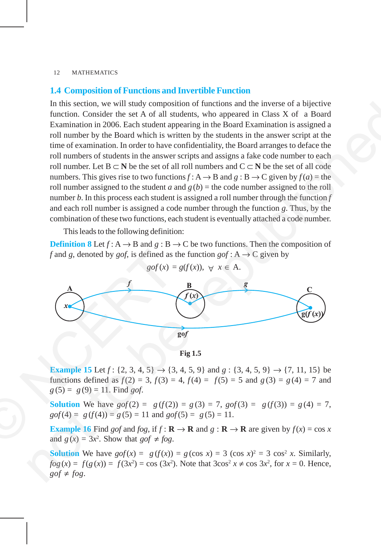## **1.4 Composition of Functions and Invertible Function**

In this section, we will study composition of functions and the inverse of a bijective function. Consider the set A of all students, who appeared in Class X of a Board Examination in 2006. Each student appearing in the Board Examination is assigned a roll number by the Board which is written by the students in the answer script at the time of examination. In order to have confidentiality, the Board arranges to deface the roll numbers of students in the answer scripts and assigns a fake code number to each roll number. Let B ⊂ **N** be the set of all roll numbers and  $C \subset N$  be the set of all code numbers. This gives rise to two functions  $f: A \rightarrow B$  and  $g: B \rightarrow C$  given by  $f(a)$  = the roll number assigned to the student *a* and  $g(b)$  = the code number assigned to the roll number *b*. In this process each student is assigned a roll number through the function *f* and each roll number is assigned a code number through the function *g*. Thus, by the combination of these two functions, each student is eventually attached a code number. In link section, we will studied your<br>position of functions and the inverse of a bijective<br>function. Consider the set A of all students, who appeared in Class X of a Board<br>Examination in 2006. Each student appearing in th

This leads to the following definition:

**Definition 8** Let  $f: A \rightarrow B$  and  $g: B \rightarrow C$  be two functions. Then the composition of *f* and *g*, denoted by *gof*, is defined as the function *gof* : A  $\rightarrow$  C given by



**Fig 1.5**

**Example 15** Let  $f$ : {2, 3, 4, 5}  $\rightarrow$  {3, 4, 5, 9} and  $g$ : {3, 4, 5, 9}  $\rightarrow$  {7, 11, 15} be functions defined as  $f(2) = 3$ ,  $f(3) = 4$ ,  $f(4) = f(5) = 5$  and  $g(3) = g(4) = 7$  and  $g(5) = g(9) = 11$ . Find *gof*.

**Solution** We have  $gof(2) = g(f(2)) = g(3) = 7$ ,  $gof(3) = g(f(3)) = g(4) = 7$ ,  $g \circ f(4) = g(f(4)) = g(5) = 11$  and  $g \circ f(5) = g(5) = 11$ .

**Example 16** Find *gof* and *fog*, if  $f : \mathbf{R} \to \mathbf{R}$  and  $g : \mathbf{R} \to \mathbf{R}$  are given by  $f(x) = \cos x$ and  $g(x) = 3x^2$ . Show that  $g \circ f \neq f \circ g$ .

**Solution** We have  $gof(x) = g(f(x)) = g(\cos x) = 3(\cos x)^2 = 3\cos^2 x$ . Similarly,  $f \circ g(x) = f(g(x)) = f(3x^2) = \cos(3x^2)$ . Note that  $3\cos^2 x \neq \cos 3x^2$ , for  $x = 0$ . Hence,  $g \circ f \neq f \circ g$ .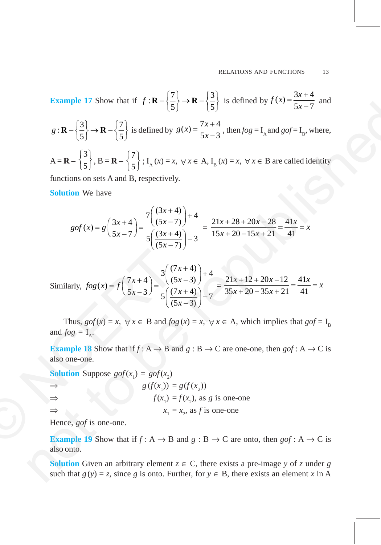**Example 17** Show that if 
$$
f: \mathbf{R} - \left\{ \frac{7}{5} \right\} \rightarrow \mathbf{R} - \left\{ \frac{3}{5} \right\}
$$
 is defined by  $f(x) = \frac{3x+4}{5x-7}$  and

$$
g: \mathbf{R} - \left\{\frac{3}{5}\right\} \to \mathbf{R} - \left\{\frac{7}{5}\right\} \text{ is defined by } g(x) = \frac{7x+4}{5x-3}, \text{ then } fog = I_A \text{ and } gof = I_B, \text{ where,}
$$
  

$$
A = \mathbf{R} - \left\{\frac{3}{5}\right\}, B = \mathbf{R} - \left\{\frac{7}{5}\right\}; I_A(x) = x, \forall x \in A, I_B(x) = x, \forall x \in B \text{ are called identity}
$$

functions on sets A and B, respectively.

**Solution** We have

$$
gof(x) = g\left(\frac{3x+4}{5x-7}\right) = \frac{7\left(\frac{(3x+4)}{(5x-7)}\right)+4}{5\left(\frac{(3x+4)}{(5x-7)}\right)-3} = \frac{21x+28+20x-28}{15x+20-15x+21} = \frac{41x}{41} = x
$$

**Example 17** Show that 
$$
1 + 3 \times 1 = \frac{1}{5} \int -8 \times 1 = \frac{1}{5} \int
$$
 is defined by  $g(x) = \frac{7x+4}{5x-3}$ , then  $fog = I_x$  and  $gof = I_y$ , where,  
\n $A = \mathbf{R} - \left\{ \frac{3}{5} \right\} \cdot \mathbf{B} = \mathbf{R} - \left\{ \frac{7}{5} \right\} : I_x(x) = x, \forall x \in A$ ,  $I_y(x) = x, \forall x \in B$  are called identity  
\nfunctions on sets A and B, respectively.  
\n**Solution** We have  
\n $gof(x) = g\left(\frac{3x+4}{5x-7}\right) = \frac{7\left(\frac{(3x+4)}{(5x-7)}\right)+4}{5\left(\frac{(3x+4)}{(5x-7)}\right)-3} = \frac{21x+28+20x-28}{15x+20-15x+21} = \frac{41x}{41} = x$   
\nSimilarly,  $fog(x) = f\left(\frac{7x+4}{5x-3}\right) = \frac{3\left(\frac{(7x+4)}{(5x-3)}\right)+4}{5\left(\frac{(7x+4)}{(5x-3)}\right)-7} = \frac{21x+12+20x-12}{35x+20-35x+21} = \frac{41x}{41} = x$   
\nThus,  $gof(x) = x, \forall x \in B$  and  $fog(x) = x, \forall x \in A$ , which implies that  $gof = I_n$   
\nand  $fog = I_x$ .  
\n**Example 18** Show that if  $f: A \rightarrow B$  and  $g: B \rightarrow C$  are one-one, then  $gof: A \rightarrow C$  is also one-one.  
\n**Solution** Suppose  $gof(x) = gof(x)$ ,  
\n $g(f(x_1)) = g(f(x_2))$   
\n $g(f(x_1)) = g(f(x_2))$   
\nHence,  $gof$  is one-one.  
\n**Example 19** Show that if  $f: A \rightarrow B$  and  $g: B \rightarrow C$  are onto, then  $gof: A \rightarrow C$  is also onto.  
\n**Solution** Given an

Thus,  $g \circ f(x) = x$ ,  $\forall x \in B$  and  $f \circ g(x) = x$ ,  $\forall x \in A$ , which implies that  $g \circ f = I_B$ and  $fog = I_\lambda$ .

**Example 18** Show that if  $f: A \to B$  and  $g: B \to C$  are one-one, then  $gof: A \to C$  is also one-one.

**Solution** Suppose  $gof(x_1) = gof(x_2)$ ⇒ *g* (*f*(*x*<sub>1</sub>)) = *g*(*f*(*x*<sub>2</sub>))  $f(x_1) = f(x_2)$ , as *g* is one-one  $\Rightarrow$  *x*<sub>1</sub>  $= x<sub>2</sub>$ , as *f* is one-one Similarly,  $fog(x) = f\left(\frac{7x+4}{5x-3}\right) = \frac{3\left(\frac{7x+4}{5x-3}\right)}{5\left(\frac{7x}{3}\right)} = \frac{3\left(\frac{7x}{3}\right)}{5\left(\frac{7x}{3}\right)} = \frac{3\left(\frac{7x}{3}\right)}{5\left(\frac{7x}{3}\right)} = \frac{3\left(\frac{7x}{3}\right)}{5\left(\frac{7x}{3}\right)} = \frac{3\left(\frac{7x}{3}\right)}{5\left(\frac{7x}{3}\right)} = \frac{3\left(\frac{7x}{3}\right)}{5\left(\frac{7x$ 

Hence, *gof* is one-one.

**Example 19** Show that if  $f : A \rightarrow B$  and  $g : B \rightarrow C$  are onto, then  $gof : A \rightarrow C$  is also onto.

**Solution** Given an arbitrary element  $z \in C$ , there exists a pre-image *y* of *z* under *g* such that  $g(y) = z$ , since *g* is onto. Further, for  $y \in B$ , there exists an element *x* in A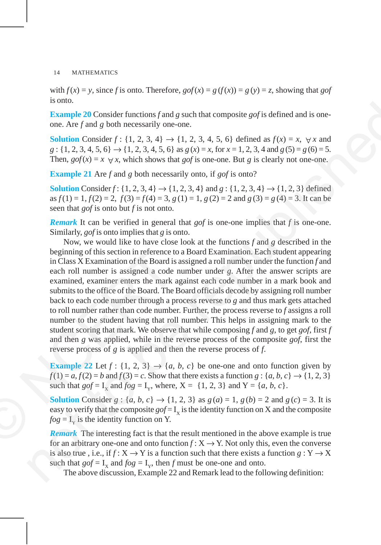with  $f(x) = y$ , since *f* is onto. Therefore,  $gof(x) = g(f(x)) = g(y) = z$ , showing that *gof* is onto.

**Example 20** Consider functions *f* and *g* such that composite *gof* is defined and is oneone. Are *f* and *g* both necessarily one-one.

**Solution** Consider  $f : \{1, 2, 3, 4\} \rightarrow \{1, 2, 3, 4, 5, 6\}$  defined as  $f(x) = x$ ,  $\forall x$  and  $g: \{1, 2, 3, 4, 5, 6\} \rightarrow \{1, 2, 3, 4, 5, 6\}$  as  $g(x) = x$ , for  $x = 1, 2, 3, 4$  and  $g(5) = g(6) = 5$ . Then,  $g \circ f(x) = x \forall x$ , which shows that *gof* is one-one. But *g* is clearly not one-one.

**Example 21** Are *f* and *g* both necessarily onto, if *gof* is onto?

**Solution** Consider  $f: \{1, 2, 3, 4\} \rightarrow \{1, 2, 3, 4\}$  and  $g: \{1, 2, 3, 4\} \rightarrow \{1, 2, 3\}$  defined as  $f(1) = 1, f(2) = 2, f(3) = f(4) = 3, g(1) = 1, g(2) = 2$  and  $g(3) = g(4) = 3$ . It can be seen that *gof* is onto but *f* is not onto.

*Remark* It can be verified in general that *gof* is one-one implies that *f* is one-one. Similarly, *gof* is onto implies that *g* is onto.

Now, we would like to have close look at the functions *f* and *g* described in the beginning of this section in reference to a Board Examination. Each student appearing in Class X Examination of the Board is assigned a roll number under the function *f* and each roll number is assigned a code number under *g*. After the answer scripts are examined, examiner enters the mark against each code number in a mark book and submits to the office of the Board. The Board officials decode by assigning roll number back to each code number through a process reverse to *g* and thus mark gets attached to roll number rather than code number. Further, the process reverse to *f* assigns a roll number to the student having that roll number. This helps in assigning mark to the student scoring that mark. We observe that while composing *f* and *g*, to get *gof*, first *f* and then *g* was applied, while in the reverse process of the composite *gof*, first the reverse process of *g* is applied and then the reverse process of *f*. beginning of this section in reference to<br>in Class X Examination of the Board is<br>each roll number is assigned a code<br>examined, examiner enters the mark<br>submits to the office of the Board. The<br>back to each code number thro stand.<br>
Faxample 20 Consider functions f and g such that composite gef is defined and is one-<br>
one. Are f and g both necessarily one one.<br>
Solution Consider  $f: \{1, 2, 3, 4, 5, 6\} \Rightarrow \{1, 2, 3, 4, 5, 6\}$  defined as  $f(x) = x$ 

**Example 22** Let  $f : \{1, 2, 3\} \rightarrow \{a, b, c\}$  be one-one and onto function given by  $f(1) = a, f(2) = b$  and  $f(3) = c$ . Show that there exists a function  $g: \{a, b, c\} \rightarrow \{1, 2, 3\}$ such that  $gof = I_x$  and  $fog = I_y$ , where,  $X = \{1, 2, 3\}$  and  $Y = \{a, b, c\}$ .

**Solution** Consider  $g : \{a, b, c\} \to \{1, 2, 3\}$  as  $g(a) = 1, g(b) = 2$  and  $g(c) = 3$ . It is easy to verify that the composite  $gof = I_x$  is the identity function on X and the composite  $fog = I_y$  is the identity function on Y.

*Remark* The interesting fact is that the result mentioned in the above example is true for an arbitrary one-one and onto function  $f: X \to Y$ . Not only this, even the converse is also true, i.e., if  $f: X \to Y$  is a function such that there exists a function  $g: Y \to X$ such that  $gof = I_x$  and  $fog = I_y$ , then *f* must be one-one and onto.

The above discussion, Example 22 and Remark lead to the following definition: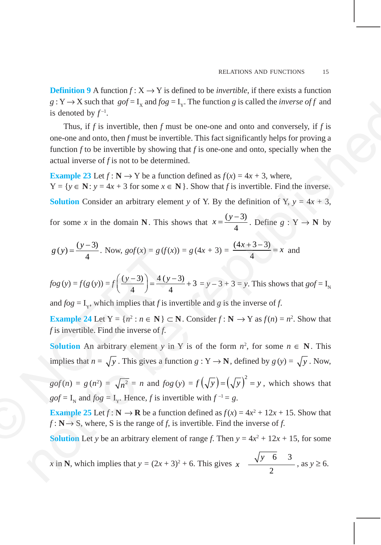**Definition 9** A function  $f: X \to Y$  is defined to be *invertible*, if there exists a function  $g: Y \to X$  such that  $gof = I_X$  and  $fog = I_Y$ . The function *g* is called the *inverse of f* and is denoted by  $f^{-1}$ .

Thus, if *f* is invertible, then *f* must be one-one and onto and conversely, if *f* is one-one and onto, then *f* must be invertible. This fact significantly helps for proving a function *f* to be invertible by showing that *f* is one-one and onto, specially when the actual inverse of *f* is not to be determined. g  $x \to \infty$  axion tag  $gg = 1$ <sub>g</sub> and pog  $= 1$ <sub>y</sub>. The function g is caused the *movese ary* and<br>
Thus, if  $f$  is invertible, then  $f$  must be one-one and conto al convergely, if  $f$  is<br>
one-one and onto then function by sh

**Example 23** Let  $f: \mathbb{N} \to Y$  be a function defined as  $f(x) = 4x + 3$ , where,  $Y = \{y \in \mathbb{N} : y = 4x + 3 \text{ for some } x \in \mathbb{N} \}$ . Show that *f* is invertible. Find the inverse.

**Solution** Consider an arbitrary element *y* of Y. By the definition of Y,  $y = 4x + 3$ ,

for some *x* in the domain **N**. This shows that  $x = \frac{(y-3)}{4}$  $x = \frac{(y-3)}{4}$ . Define  $g: Y \to N$  by

$$
g(y) = \frac{(y-3)}{4}
$$
. Now,  $gof(x) = g(f(x)) = g(4x+3) = \frac{(4x+3-3)}{4} = x$  and

$$
fog(y) = f(g(y)) = f\left(\frac{(y-3)}{4}\right) = \frac{4(y-3)}{4} + 3 = y - 3 + 3 = y
$$
. This shows that  $gof = IN$ 

and  $f \circ g = I_{y}$ , which implies that *f* is invertible and *g* is the inverse of *f*.

**Example 24** Let  $Y = \{n^2 : n \in \mathbb{N}\}\subset \mathbb{N}$ . Consider  $f: \mathbb{N} \to Y$  as  $f(n) = n^2$ . Show that *f* is invertible. Find the inverse of *f*.

**Solution** An arbitrary element *y* in Y is of the form  $n^2$ , for some  $n \in \mathbb{N}$ . This implies that  $n = \sqrt{y}$ . This gives a function  $g: Y \to \mathbb{N}$ , defined by  $g(y) = \sqrt{y}$ . Now,

 $gof(n) = g(n^2) = \sqrt{n^2} = n$  and  $fog(y) = f(\sqrt{y}) = (\sqrt{y})^2 = y$ , which shows that  $gof = I<sub>N</sub>$  and  $fog = I<sub>V</sub>$ . Hence, *f* is invertible with  $f<sup>-1</sup> = g$ .  $g(y) = \frac{y}{4}$ . Now,  $gof(x) = g(f(x))$ <br>  $fog(y) = f(g(y)) = f\left(\frac{(y-3)}{4}\right) = \frac{4(y-3)}{4}$ <br>
and  $fog = I_y$ , which implies that *f* is in<br> **Example 24** Let  $Y = \{n^2 : n \in \mathbb{N}\} \subset I$ <br> *f* is invertible. Find the inverse of *f*.<br> **Solution** An arb

**Example 25** Let  $f : \mathbb{N} \to \mathbb{R}$  be a function defined as  $f(x) = 4x^2 + 12x + 15$ . Show that  $f: \mathbb{N} \to \mathbb{S}$ , where, *S* is the range of *f*, is invertible. Find the inverse of *f*.

**Solution** Let *y* be an arbitrary element of range *f*. Then  $y = 4x^2 + 12x + 15$ , for some

*x* in **N**, which implies that  $y = (2x + 3)^2 + 6$ . This gives  $x \frac{\sqrt{y^2 + 6}}{y^2 + 6}$ 2  $\frac{\sqrt{y-6}}{2}$ , as  $y \ge 6$ .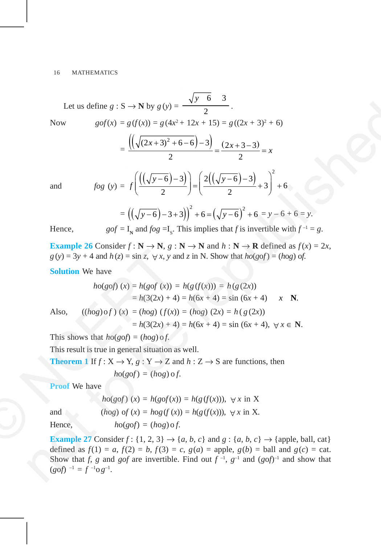Let us define 
$$
g : S \rightarrow N
$$
 by  $g(y) = \frac{\sqrt{y-6}}{2}$ .  
\nNow  $gof(x) = g(f(x)) = g(4x^2 + 12x + 15) = g((2x + 3)^2 + 6)$   
\n
$$
= \frac{\left(\left(\sqrt{(2x+3)^2 + 6-6}\right) - 3\right)}{2} = \frac{(2x+3-3)}{2} = x
$$
\nand  $fog(y) = f\left(\frac{\left(\left(\sqrt{y-6}\right) - 3\right)}{2}\right) + 6 = \left(\sqrt{y-6}\right)^2 + 3\right)^2 + 6$   
\n
$$
= \left(\left(\sqrt{y-6}\right) - 3 + 3\right)^2 + 6 = \left(\sqrt{y-6}\right)^2 + 6 = y - 6 + 6 = y.
$$
\nHence,  $gof = I_x$  and  $fog = I_x$ . This implies that *f* is invertible with  $f^{-1} = g$ .  
\nExample 26 Consider *f*: N \rightarrow N, *g*: N \rightarrow N and *h*: N \rightarrow R defined as *f*(x) = 2*x*, *g*(y) = 3y + 4 and *h*(z) = sin 2,  $\forall x, y$  and *z* in N. Show that  $hog(g) = (hog) of$ .  
\nSolution We have  
\n $hog(g) (x) = h(g(g) f(x)) = h(g) f(x)) = h(g (2x))$   
\n $= h(3(2x) + 4) = h(6x + 4) = \sin (6x + 4)$  *x* N.  
\nAlso,  $((hog) of) (x) = (hog) (f(x)) = (hog) (2x) = h(g (2x))$   
\n $= h(3(2x) + 4) = h(6x + 4) = \sin (6x + 4)$ ,  $\forall x \in N$ .  
\nThis shows that  $hog(g) = (hog) of$ .  
\nThis result is true in general situation as well.  
\n**Theorem** If  $f: X \rightarrow Y, g: Y \rightarrow Z$  and  $h: Z \rightarrow S$  are functions, then  $hog(g) = (hog) of$ .  
\n**Proof** We have  
\n $hog(g)$ 

 $Hence,$ 

$$
gof = I_{\mathbf{v}}
$$
 and  $fog = I_{\mathbf{c}}$ . This implies that f is invertible with  $f^{-1} = g$ .

**Example 26** Consider  $f : \mathbb{N} \to \mathbb{N}$ ,  $g : \mathbb{N} \to \mathbb{N}$  and  $h : \mathbb{N} \to \mathbb{R}$  defined as  $f(x) = 2x$ ,  $g(y) = 3y + 4$  and  $h(z) = \sin z$ ,  $\forall x, y$  and *z* in N. Show that  $ho(g \circ f) = (h \circ g)$  of.

**Solution** We have

**Solution** We have  
\n
$$
g(y) = 3y + 4
$$
 and  $h(z) = \sin z$ ,  $\forall x, y$  and z in N. Show that  $ho(gof) = (hog) of$ .  
\n**Solution** We have  
\n $ho(gof) (x) = h(gof (x)) = h(g(f(x))) = h(g(2x))$   
\n $= h(3(2x) + 4) = h(6x + 4) = \sin (6x + 4)$  x N.  
\nAlso,  $((hog) of) (x) = (hog) (f(x)) = (hog) (2x) = h(g(2x))$   
\n $= h(3(2x) + 4) = h(6x + 4) = \sin (6x + 4)$ ,  $\forall x \in N$ .  
\nThis shows that  $ho(gof) = (hog) of$ .  
\nThis result is true in general situation as well.  
\n**Theorem 1** If  $f: X \rightarrow Y, g: Y \rightarrow Z$  and  $h: Z \rightarrow S$  are functions, then  
\n $ho(gof) = (hog) of$ .  
\n**Proof** We have  
\n $ho(gof) (x) = h(gof(x)) = h(g(f(x))), \forall x \text{ in } X$   
\nand  
\n $(hog) of (x) = hog(f(x)) = h(g(f(x))), \forall x \text{ in } X$ .  
\nHence,  $ho(gof) = (hog) of$ .  
\n**Example 27** Consider  $f: \{1, 2, 3\} \rightarrow \{a, b, c\}$  and  $g: \{a, b, c\} \rightarrow \{apple, b\}$ 

This shows that  $ho(g \circ f) = (h \circ g) \circ f$ .

This result is true in general situation as well.

**Theorem 1** If  $f: X \to Y$ ,  $g: Y \to Z$  and  $h: Z \to S$  are functions, then  $ho(gof) = (hog) \circ f$ .

**Proof** We have

$$
ho(gof)(x) = h(gof(x)) = h(g(f(x))), \forall x \text{ in } X
$$
  
and 
$$
(hog) of (x) = hog(f(x)) = h(g(f(x))), \forall x \text{ in } X.
$$

 $Hence,$ 

$$
ho(\varrho \circ f) = (ho \varrho) \circ f.
$$

**Example 27** Consider  $f$ : {1, 2, 3}  $\rightarrow$  {*a*, *b*, *c*} and  $g$ : {*a*, *b*, *c*}  $\rightarrow$  {apple, ball, cat} defined as  $f(1) = a, f(2) = b, f(3) = c, g(a) = \text{apple}, g(b) = \text{ball}$  and  $g(c) = \text{cat}.$ Show that *f*, *g* and *gof* are invertible. Find out  $f^{-1}$ ,  $g^{-1}$  and  $(gof)^{-1}$  and show that  $(g \circ f)^{-1} = f^{-1} \circ g^{-1}$ .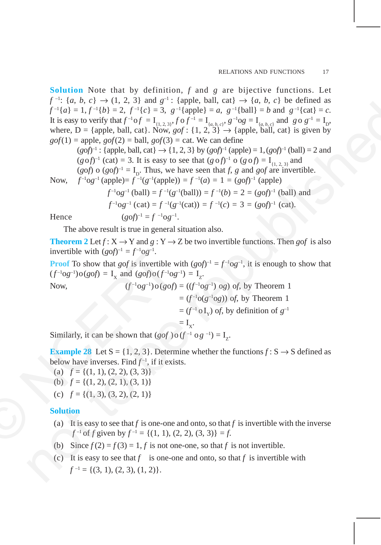**Solution** Note that by definition, *f* and *g* are bijective functions. Let  $f^{-1}$ :  $\{a, b, c\} \rightarrow (1, 2, 3)$  and  $g^{-1}$ :  $\{\text{apple, ball, cat}\} \rightarrow \{a, b, c\}$  be defined as  $f^{-1}{a} = 1, f^{-1}{b} = 2, f^{-1}{c} = 3, g^{-1}{\text{apple}} = a, g^{-1}{\text{ball}} = b \text{ and } g^{-1}{\text{cat}} = c.$ It is easy to verify that  $f^{-1} \circ f = I_{\{1,2,3\}}$ ,  $f \circ f^{-1} = I_{\{a,b,c\}}$ ,  $g^{-1} \circ g = I_{\{a,b,c\}}$  and  $g \circ g^{-1} = I_{\{b\}}$ , where,  $D = \{\text{apple}, \text{ball}, \text{cat}\}\$ . Now,  $gof : \{1, 2, 3\} \rightarrow \{\text{apple}, \text{ball}, \text{cat}\}\$ is given by  $g \circ f(1)$  = apple,  $g \circ f(2)$  = ball,  $g \circ f(3)$  = cat. We can define  $f^{-1}(n) = 1$ .  $f^{-1}(n) = 2$ ,  $f^{-1}(n) = 3$ ,  $g^{-1}(n) = 1$ ,  $g^{-1}(n) = 1$ ,  $g^{-1}(n) = 1$ ,  $g^{-1}(n) = 1$ ,  $g^{-1}(n) = 1$ ,  $g^{-1}(n) = 1$ ,  $g^{-1}(n) = 1$ ,  $g^{-1}(n) = 1$ ,  $g^{-1}(n) = 1$ ,  $g^{-1}(n) = 1$ ,  $g^{-1}(n) = 1$ ,  $g^{-1}(n) = 1$ ,  $g^{-1}(n) = 1$ ,  $g^{-1}(n) = 1$ ,

 $(gof)^{-1}$ : {apple, ball, cat}  $\rightarrow$  {1, 2, 3} by  $(gof)^{-1}$  (apple) = 1,  $(gof)^{-1}$  (ball) = 2 and  $(g \circ f)^{-1}$  (cat) = 3. It is easy to see that  $(g \circ f)^{-1}$  o  $(g \circ f) = I_{\{1, 2, 3\}}$  and (*gof*) o (*gof*)<sup>-1</sup> =  $I<sub>D</sub>$ . Thus, we have seen that *f*, *g* and *gof* are invertible.

Now, 
$$
f^{-1}og^{-1}(apple) = f^{-1}(g^{-1}(apple)) = f^{-1}(a) = 1 = (gof)^{-1}(apple)
$$

$$
f^{-1}og^{-1} (ball) = f^{-1}(g^{-1}(ball)) = f^{-1}(b) = 2 = (gof)^{-1} (ball) \text{ and}
$$
  

$$
f^{-1}og^{-1} (cat) = f^{-1}(g^{-1}(cat)) = f^{-1}(c) = 3 = (gof)^{-1} (cat).
$$
  

$$
(gof)^{-1} = f^{-1}og^{-1}.
$$

Hence (*g*o*f*)

The above result is true in general situation also.

**Theorem 2** Let  $f: X \to Y$  and  $g: Y \to Z$  be two invertible functions. Then *gof* is also invertible with  $(g \circ f)^{-1} = f^{-1} \circ g^{-1}$ .

**Proof** To show that *gof* is invertible with  $(gof)^{-1} = f^{-1}og^{-1}$ , it is enough to show that  $(f^{-1}og^{-1})o(gof) = I_x$  and  $(gof)o(f^{-1}og^{-1}) = I_z$ .

invertible with 
$$
(gof)^{-1} = f^{-1}og^{-1}
$$
.  
\n**Proof** To show that  $gof$  is invertible with  $(gof)^{-1} = f^{-1}og^{-1}$ , it is enough to  
\n $(f^{-1}og^{-1})o(gof) = I_x$  and  $(gof)o(f^{-1}og^{-1}) = I_z$ .  
\nNow,  
\n $(f^{-1}og^{-1})o(gof) = ((f^{-1}og^{-1}) og) of$ , by Theorem 1  
\n $= (f^{-1}o(I_x)) of$ , by Theorem 1  
\n $= (f^{-1}o(I_x)) of$ , by definition of  $g^{-1}$   
\n $= I_x$ .  
\nSimilarly, it can be shown that  $(gof) o(f^{-1} o g^{-1}) = I_z$ .  
\n**Example 28** Let  $S = \{1, 2, 3\}$ . Determine whether the functions  $f: S \rightarrow S$   
\nbelow have inverses. Find  $f^{-1}$ , if it exists.  
\n(a)  $f = \{(1, 1), (2, 2), (3, 3)\}$   
\n(b)  $f = \{(1, 2), (2, 1), (3, 1)\}$   
\n(c)  $f = \{(1, 3), (3, 2), (2, 1)\}$   
\n**Solution**  
\n(a) It is easy to see that  $f$  is one-one and onto, so that  $f$  is invertible with  
\n $f^{-1}of f$  given by  $f^{-1} = \{(1, 1), (2, 2), (3, 3)\} = f$ .  
\n(b) Since  $f(2) - f(3) - 1$   $f$  is not one-one, so that  $f$  is not invertible

Similarly, it can be shown that  $(gof) \circ (f^{-1} \circ g^{-1}) = I_{\tau}$ .

**Example 28** Let  $S = \{1, 2, 3\}$ . Determine whether the functions  $f : S \rightarrow S$  defined as below have inverses. Find  $f^{-1}$ , if it exists.

- (a)  $f = \{(1, 1), (2, 2), (3, 3)\}\$
- (b)  $f = \{(1, 2), (2, 1), (3, 1)\}\$
- (c)  $f = \{(1, 3), (3, 2), (2, 1)\}\$

## **Solution**

- (a) It is easy to see that  $f$  is one-one and onto, so that  $f$  is invertible with the inverse *f*<sup> $-1$ </sup> of *f* given by  $f^{-1} = \{(1, 1), (2, 2), (3, 3)\} = f$ .
- (b) Since  $f(2) = f(3) = 1$ , *f* is not one-one, so that *f* is not invertible.
- (c) It is easy to see that  $f$  is one-one and onto, so that  $f$  is invertible with  $f^{-1} = \{(3, 1), (2, 3), (1, 2)\}.$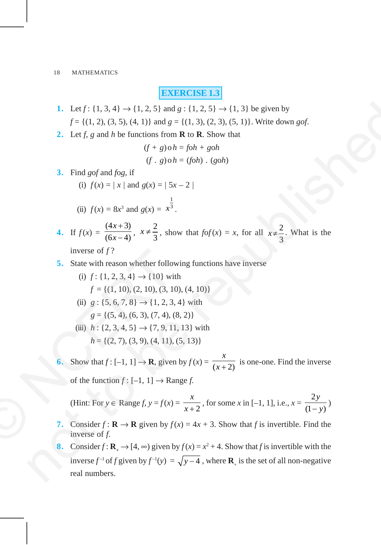## **EXERCISE 1.3**

- 1. Let  $f: \{1, 3, 4\} \rightarrow \{1, 2, 5\}$  and  $g: \{1, 2, 5\} \rightarrow \{1, 3\}$  be given by  $f = \{(1, 2), (3, 5), (4, 1)\}\$ and  $g = \{(1, 3), (2, 3), (5, 1)\}\$ . Write down *gof*.
- **2.** Let *f*, *g* and *h* be functions from **R** to **R**. Show that

$$
(f+g) \circ h = f \circ h + g \circ h
$$
  

$$
(f \cdot g) \circ h = (f \circ h) \cdot (g \circ h)
$$

**3.** Find *g*o*f* and *f*o*g*, if

(i) 
$$
f(x) = |x|
$$
 and  $g(x) = |5x - 2|$   
\n(ii)  $f(x) = 8x^3$  and  $g(x) = x^{\frac{1}{3}}$ .

4. If 
$$
f(x) = \frac{(4x+3)}{(6x-4)}
$$
,  $x \neq \frac{2}{3}$ , show that  $f \circ f(x) = x$ , for all  $x \neq \frac{2}{3}$ . What is the

inverse of 
$$
f
$$
?

- **5.** State with reason whether following functions have inverse
	- (i)  $f: \{1, 2, 3, 4\} \rightarrow \{10\}$  with  $f = \{(1, 10), (2, 10), (3, 10), (4, 10)\}\$
	- (ii)  $g: \{5, 6, 7, 8\} \rightarrow \{1, 2, 3, 4\}$  with  $g = \{(5, 4), (6, 3), (7, 4), (8, 2)\}$
	- (iii)  $h: \{2, 3, 4, 5\} \rightarrow \{7, 9, 11, 13\}$  with  $h = \{(2, 7), (3, 9), (4, 11), (5, 13)\}$
- **6.** Show that  $f: [-1, 1] \rightarrow \mathbf{R}$ , given by  $f(x) = \frac{1}{x+2}$ *x*  $\frac{1}{x+2}$  is one-one. Find the inverse of the function  $f : [-1, 1] \rightarrow \text{Range } f$ . inverse of *f*?<br>
5. State with reason whether follov<br>
(i) *f* : {1, 2, 3, 4} → {10} wit<br> *f* = {(1, 10), (2, 10), (3, 1(<br>
(ii) *g* : {5, 6, 7, 8} → {1, 2, 3,<br> *g* = {(5, 4), (6, 3), (7, 4), (<br>
(iii) *h* : {2, 3, 4, 5} →

(Hint: For 
$$
y \in \text{Range } f, y = f(x) = \frac{x}{x+2}
$$
, for some x in [-1, 1], i.e.,  $x = \frac{2y}{(1-y)}$ )

- **7.** Consider  $f : \mathbf{R} \to \mathbf{R}$  given by  $f(x) = 4x + 3$ . Show that *f* is invertible. Find the inverse of *f*.
- **8.** Consider  $f: \mathbf{R}_{+} \to [4, \infty)$  given by  $f(x) = x^2 + 4$ . Show that *f* is invertible with the inverse  $f^{-1}$  of *f* given by  $f^{-1}(y) = \sqrt{y-4}$ , where  $\mathbf{R}_{+}$  is the set of all non-negative real numbers. 1. Let  $f: \{1, 3, 4\} \rightarrow \{1, 2, 5\}$  and  $g: \{1, 2, 5\} \rightarrow \{1, 3\}$  be given by<br>  $f = \{(1, 2), (3, 5), (4, 1)\}$  and  $g = \{(1, 3), (2, 3), (5, 1), \text{Write down } gg\}$ .<br>
2. Let  $f, g$  and  $h$  be functions from **K** to **R**. Show that<br>  $(f * g) \circ h = f \circ h + g \$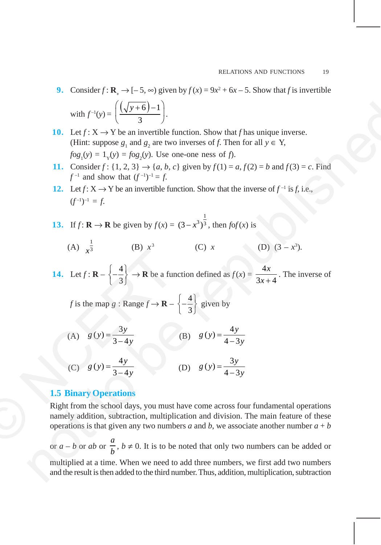- **9.** Consider  $f: \mathbf{R}_{+} \to [-5, \infty)$  given by  $f(x) = 9x^2 + 6x 5$ . Show that *f* is invertible with  $f^{-1}(y) = \left( \frac{(\sqrt{y+6})-1}{2} \right)$  $\left(\frac{(\sqrt{y+6})-1}{3}\right).$
- **10.** Let  $f: X \to Y$  be an invertible function. Show that f has unique inverse. (Hint: suppose  $g_1$  and  $g_2$  are two inverses of *f*. Then for all  $y \in Y$ ,  $f \circ g_1(y) = 1_y(y) = f \circ g_2(y)$ . Use one-one ness of *f*).
- **11.** Consider  $f$ : {1, 2, 3}  $\rightarrow$  {*a*, *b*, *c*} given by  $f(1) = a$ ,  $f(2) = b$  and  $f(3) = c$ . Find *f* <sup>–1</sup> and show that  $(f^{-1})^{-1} = f$ .
- **12.** Let  $f: X \to Y$  be an invertible function. Show that the inverse of  $f^{-1}$  is f, i.e.,  $(f^{-1})^{-1} = f$ .
- **13.** If  $f: \mathbf{R} \to \mathbf{R}$  be given by  $f(x) =$ 1  $(3 - x^3)^{\frac{1}{3}}$ , then *fof*(*x*) is

(A) 
$$
\frac{1}{x^3}
$$
 (B)  $x^3$  (C) x (D)  $(3 - x^3)$ .

**14.** Let  $f: \mathbf{R} - \begin{cases} -\frac{4}{5} \end{cases}$  $\left\{-\frac{4}{3}\right\} \rightarrow \mathbf{R}$  be a function defined as  $f(x) = \frac{4}{3x}$  $3x + 4$ *x*  $\frac{1}{x+4}$ . The inverse of

*f* is the map *g* : Range  $f \rightarrow \mathbf{R} - \begin{cases} -\frac{4}{3} & \text{if } n = 1 \end{cases}$  $\left\{-\frac{4}{3}\right\}$  given by

(A) 
$$
g(y) = \frac{3y}{3-4y}
$$
 (B)  $g(y) = \frac{4y}{4-3y}$ 

(C) 
$$
g(y) = \frac{4y}{3-4y}
$$
 (D)  $g(y) = \frac{3y}{4-3y}$ 

## **1.5 Binary Operations**

Right from the school days, you must have come across four fundamental operations namely addition, subtraction, multiplication and division. The main feature of these operations is that given any two numbers *a* and *b*, we associate another number  $a + b$ 14. Let  $f: \mathbf{R} - \left\{-\frac{4}{3}\right\} \rightarrow \mathbf{R}$  be a fur<br>  $f$  is the map  $g: \text{Range } f \rightarrow \mathbf{R} -$ <br>
(A)  $g(y) = \frac{3y}{3-4y}$ <br>
(C)  $g(y) = \frac{4y}{3-4y}$ <br>
1.5 Binary Operations<br>
Right from the school days, you must<br>
namely addition, subtracti

or *a* – *b* or *ab* or *a*  $\frac{a}{b}$ , *b* ≠ 0. It is to be noted that only two numbers can be added or multiplied at a time. When we need to add three numbers, we first add two numbers and the result is then added to the third number. Thus, addition, multiplication, subtraction with  $f'(y) = \left(\frac{(\sqrt{y+6})-1}{3}\right)$ .<br>
10. Let  $f: X \to Y$  be an invertible function. Show that *f* has unique inverse.<br>
(thin suppose,  $g, \text{ and } g$ , are two inverses of *f*). Then for all  $y \in Y$ ,<br>  $f(x) = \int_{y}^{x} (y) - 1 \cdot \int_{y}^{x} (y) \$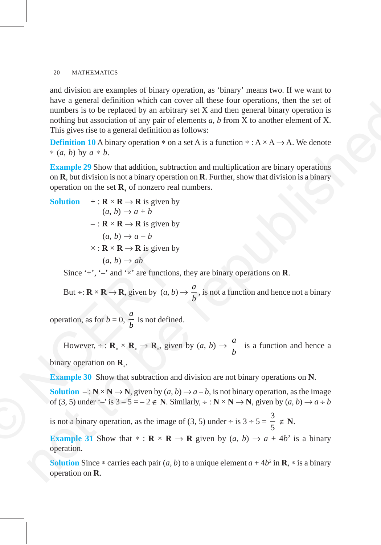and division are examples of binary operation, as 'binary' means two. If we want to have a general definition which can cover all these four operations, then the set of numbers is to be replaced by an arbitrary set X and then general binary operation is nothing but association of any pair of elements *a*, *b* from X to another element of X. This gives rise to a general definition as follows:

**Definition 10** A binary operation  $*$  on a set A is a function  $* : A \times A \rightarrow A$ . We denote ∗ (*a*, *b*) by *a* ∗ *b*.

**Example 29** Show that addition, subtraction and multiplication are binary operations on **R**, but division is not a binary operation on **R**. Further, show that division is a binary operation on the set **R**<sup>∗</sup> of nonzero real numbers.

have a general common when can occur, and so, it is is to be replaced by an arbitrary set X and the general binary operation is nothing but association of any pair of elements a, b from X to another element of X. This gives rise to a general definition as follows:

\nDefinition 10 A binary operation \* on a set A is a function \* : A × A → A. We denote 
$$
*(a, b)
$$
 by  $a * b$ .

\nExample 29 Show that addition, subtraction and multiplication are binary operations on **R**, but division is not a binary operation on **R**. Further, show that division is a binary operation on the set **R**, of nonzero real numbers.

\nSolution + : **R** × **R** → **R** is given by

\n $(a, b) \rightarrow a - b$ 

\n $\times$ : **R** × **R** → **R** is given by

\n $(a, b) \rightarrow ab$ 

\nSince  $^{\perp} \cdot$ ,  $\cdot$  and  $\cdot$  × are functions, they are binary operations on **R**.

\nBut ÷: **R** × **R** → **R**, given by  $(a, b) \rightarrow \frac{a}{b}$ , is not a function and hence not a binary operation, as for  $b = 0$ ,  $\frac{a}{b}$  is not defined.

\nHowever, ÷: **R**, ∞ **R**,  $\Rightarrow$  **R**, given by  $(a, b) \rightarrow \frac{a}{b}$  is a function and hence a binary operation on **R**.

\nExample 30 Show that subtraction and division are not binary operations on **N**.

\nSolution -: **N** × **N** → **N**, given by  $(a, b) \rightarrow a - b$ , is not binary operation, as the image of  $(3, 5)$  under  $\cdot$  is  $3 - 5 = -2 \in \mathbb{N}$ . Similarly, ∗ : **N** × **N** → **N**, given by  $(a, b) \rightarrow a + b$  is not a binary operation, as the image of  $(3, 5)$  under  $\cdot$  is  $3 = 5 = -2 \in \mathbb{N}$ . Similarly, ∗ : **N**

Since '+', ' $-$ ' and ' $\times$ ' are functions, they are binary operations on **R**.

But  $\div: \mathbf{R} \times \mathbf{R} \to \mathbf{R}$ , given by  $(a, b) \to \frac{a}{b}$ *b* , is not a function and hence not a binary

operation, as for  $b = 0$ , *a*  $\frac{a}{b}$  is not defined.

However, ÷:  $\mathbf{R}_{*} \times \mathbf{R}_{*} \to \mathbf{R}_{*}$ , given by  $(a, b) \to \frac{a}{b}$ *b* is a function and hence a binary operation on **R**<sup>∗</sup> . x : **R** × **R** → **R** is given b<br>
(*a*, *b*) → *ab*<br>
Since '+', '-' and 'x' are function<br>
But ÷: **R** × **R** → **R**, given by (*a*, *b*<br>
operation, as for *b* = 0,  $\frac{a}{b}$  is not define<br>
However, ÷ : **R**<sub>\*</sub> × **R**<sub>\*</sub> → **R**<sub>\*</sub>

**Example 30** Show that subtraction and division are not binary operations on **N**.

**Solution**  $-$ :  $\mathbb{N} \times \mathbb{N} \rightarrow \mathbb{N}$ , given by  $(a, b) \rightarrow a - b$ , is not binary operation, as the image of (3, 5) under '–' is  $3 - 5 = -2 \notin \mathbb{N}$ . Similarly,  $\div : \mathbb{N} \times \mathbb{N} \to \mathbb{N}$ , given by  $(a, b) \to a \div b$ 

is not a binary operation, as the image of (3, 5) under ÷ is  $3 \div 5 = \frac{3}{5} \notin N$ .

**Example 31** Show that  $* : \mathbf{R} \times \mathbf{R} \to \mathbf{R}$  given by  $(a, b) \to a + 4b^2$  is a binary operation.

**Solution** Since  $*$  carries each pair  $(a, b)$  to a unique element  $a + 4b^2$  in **R**,  $*$  is a binary operation on **R**.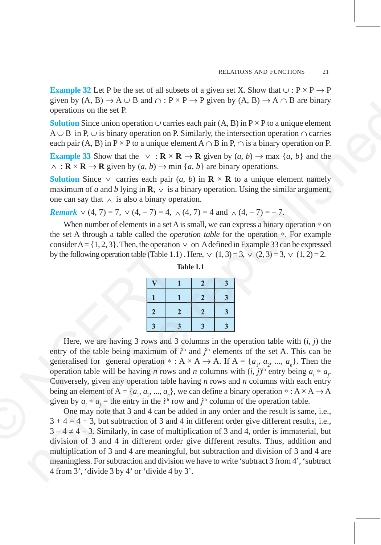**Example 32** Let P be the set of all subsets of a given set X. Show that  $\cup : P \times P \rightarrow P$ given by  $(A, B) \to A \cup B$  and  $\cap : P \times P \to P$  given by  $(A, B) \to A \cap B$  are binary operations on the set P.

**Solution** Since union operation ∪ carries each pair  $(A, B)$  in  $P \times P$  to a unique element A ∪ B in P, ∪ is binary operation on P. Similarly, the intersection operation ∩ carries each pair (A, B) in P × P to a unique element  $A \cap B$  in P,  $\cap$  is a binary operation on P.

**Example 33** Show that the  $\vee$  : **R** × **R**  $\rightarrow$  **R** given by  $(a, b) \rightarrow \max \{a, b\}$  and the  $\wedge$  : **R**  $\times$  **R**  $\rightarrow$  **R** given by  $(a, b) \rightarrow$  min  $\{a, b\}$  are binary operations.

**Solution** Since ∨ carries each pair  $(a, b)$  in **R** × **R** to a unique element namely maximum of *a* and *b* lying in **R**,  $\vee$  is a binary operation. Using the similar argument, one can say that  $∧$  is also a binary operation.

*Remark*  $\vee$  (4, 7) = 7,  $\vee$  (4, -7) = 4,  $\wedge$  (4, 7) = 4 and  $\wedge$  (4, -7) = -7.

When number of elements in a set A is small, we can express a binary operation  $*$  on the set A through a table called the *operation table* for the operation ∗. For example consider A =  $\{1, 2, 3\}$ . Then, the operation  $\vee$  on A defined in Example 33 can be expressed by the following operation table (Table 1.1). Here,  $\vee$  (1,3) = 3,  $\vee$  (2,3) = 3,  $\vee$  (1,2) = 2.

|              |    | ۰ |
|--------------|----|---|
|              | 2. |   |
| $\mathbf{r}$ |    |   |
|              |    |   |

**Table 1.1**

Here, we are having 3 rows and 3 columns in the operation table with  $(i, j)$  the entry of the table being maximum of  $i<sup>th</sup>$  and  $j<sup>th</sup>$  elements of the set A. This can be generalised for general operation \* : A  $\times$  A  $\rightarrow$  A. If A = { $a_1$ ,  $a_2$ , ...,  $a_n$ }. Then the operation table will be having *n* rows and *n* columns with  $(i, j)$ <sup>th</sup> entry being  $a_i * a_j$ . Conversely, given any operation table having *n* rows and *n* columns with each entry being an element of  $A = \{a_1, a_2, ..., a_n\}$ , we can define a binary operation  $* : A \times A \rightarrow A$ given by  $a_i * a_j$  = the entry in the *i*<sup>th</sup> row and *j*<sup>th</sup> column of the operation table. by the following operation table (Table 1.<br>  $\frac{1}{3}$ <br>
Here, we are having 3 rows and 3<br>
entry of the table being maximum of<br>
generalised for general operation \*:<br>
operation table will be having *n* rows<br>
Conversely, give growing the set of the collision of the set of the set of the set of the set of the set of the set of the set of the set of the set of the set of the set of the set of the set of the set of the set of the set of the set o

One may note that 3 and 4 can be added in any order and the result is same, i.e.,  $3 + 4 = 4 + 3$ , but subtraction of 3 and 4 in different order give different results, i.e.,  $3 - 4 \neq 4 - 3$ . Similarly, in case of multiplication of 3 and 4, order is immaterial, but division of 3 and 4 in different order give different results. Thus, addition and multiplication of 3 and 4 are meaningful, but subtraction and division of 3 and 4 are meaningless. For subtraction and division we have to write 'subtract 3 from 4', 'subtract 4 from 3', 'divide 3 by 4' or 'divide 4 by 3'.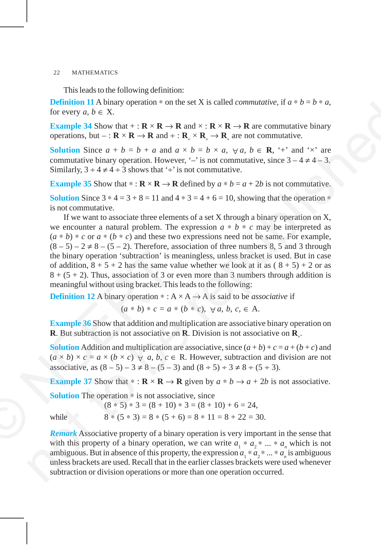This leads to the following definition:

**Definition 11** A binary operation  $*$  on the set X is called *commutative*, if  $a * b = b * a$ , for every  $a, b \in X$ .

**Example 34** Show that  $+ : \mathbf{R} \times \mathbf{R} \to \mathbf{R}$  and  $\times : \mathbf{R} \times \mathbf{R} \to \mathbf{R}$  are commutative binary operations, but – :  $\mathbf{R} \times \mathbf{R} \to \mathbf{R}$  and ÷ :  $\mathbf{R}_{*} \times \mathbf{R}_{*} \to \mathbf{R}_{*}$  are not commutative.

**Solution** Since  $a + b = b + a$  and  $a \times b = b \times a$ ,  $\forall a, b \in \mathbb{R}$ , '+' and ' $\times$ ' are commutative binary operation. However, '–' is not commutative, since  $3 - 4 \neq 4 - 3$ . Similarly,  $3 \div 4 \neq 4 \div 3$  shows that ' $\div$ ' is not commutative.

**Example 35** Show that \* :  $\mathbf{R} \times \mathbf{R} \to \mathbf{R}$  defined by  $a * b = a + 2b$  is not commutative.

**Solution** Since  $3 * 4 = 3 + 8 = 11$  and  $4 * 3 = 4 + 6 = 10$ , showing that the operation  $*$ is not commutative.

If we want to associate three elements of a set X through a binary operation on X, we encounter a natural problem. The expression  $a * b * c$  may be interpreted as  $(a * b) * c$  or  $a * (b * c)$  and these two expressions need not be same. For example,  $(8-5) - 2 \neq 8 - (5-2)$ . Therefore, association of three numbers 8, 5 and 3 through the binary operation 'subtraction' is meaningless, unless bracket is used. But in case of addition,  $8 + 5 + 2$  has the same value whether we look at it as  $(8 + 5) + 2$  or as  $8 + (5 + 2)$ . Thus, association of 3 or even more than 3 numbers through addition is meaningful without using bracket. This leads to the following: the binary operation 'subtraction' is in<br>of addition,  $8 + 5 + 2$  has the same vanisor of addition,  $8 + 5 + 2$  has the same vanisor of 3 or<br>meaningful without using bracket. This<br>**Definition 12** A binary operation \*: A<br> $(a * b)$ Definition 11 A britain  $y_0 = 8 \times 1.8$  is called *commutative*, if  $a^2 b = b^2 a$ ,<br>
for every  $a, b \in \mathbb{N}$ .  $\mathbb{R} \times \mathbb{R} \to \mathbb{R}$  and  $c : \mathbb{R} \times \mathbb{R} \to \mathbb{R}$  are commutative<br>
equentions, but  $\mathbb{R} \times \mathbb{R} \to \mathbb{R}$  a

**Definition 12** A binary operation  $* : A \times A \rightarrow A$  is said to be *associative* if

 $(a * b) * c = a * (b * c), \forall a, b, c \in A.$ 

**Example 36** Show that addition and multiplication are associative binary operation on **R**. But subtraction is not associative on **R**. Division is not associative on **R**<sup>∗</sup> .

**Solution** Addition and multiplication are associative, since  $(a + b) + c = a + (b + c)$  and  $(a \times b) \times c = a \times (b \times c) \quad \forall \quad a, b, c \in \mathbb{R}$ . However, subtraction and division are not associative, as  $(8-5) - 3 \neq 8 - (5-3)$  and  $(8 \div 5) \div 3 \neq 8 \div (5 \div 3)$ .

**Example 37** Show that  $* : \mathbf{R} \times \mathbf{R} \to \mathbf{R}$  given by  $a * b \to a + 2b$  is not associative.

**Solution** The operation ∗ is not associative, since

 $(8 * 5) * 3 = (8 + 10) * 3 = (8 + 10) + 6 = 24$ while  $8 * (5 * 3) = 8 * (5 + 6) = 8 * 11 = 8 + 22 = 30.$ 

*Remark* Associative property of a binary operation is very important in the sense that with this property of a binary operation, we can write  $a_1 * a_2 * ... * a_n$  which is not ambiguous. But in absence of this property, the expression  $a_1 * a_2 * ... * a_n$  is ambiguous unless brackets are used. Recall that in the earlier classes brackets were used whenever subtraction or division operations or more than one operation occurred.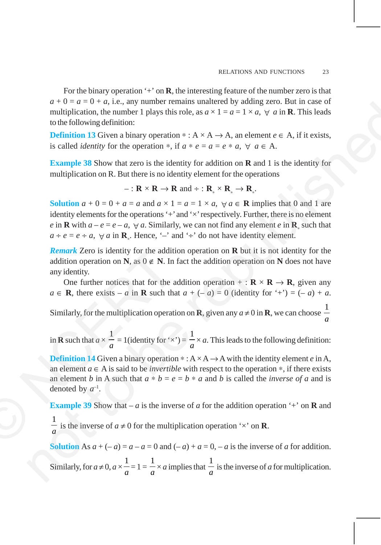For the binary operation  $\dot{+}$  on **R**, the interesting feature of the number zero is that  $a + 0 = a = 0 + a$ , i.e., any number remains unaltered by adding zero. But in case of multiplication, the number 1 plays this role, as  $a \times 1 = a = 1 \times a$ ,  $\forall a$  in **R**. This leads to the following definition:

**Definition 13** Given a binary operation  $* : A \times A \rightarrow A$ , an element  $e \in A$ , if it exists, is called *identity* for the operation  $*$ , if  $a * e = a = e * a$ ,  $\forall a \in A$ .

**Example 38** Show that zero is the identity for addition on **R** and 1 is the identity for multiplication on R. But there is no identity element for the operations

$$
-: \mathbf{R} \times \mathbf{R} \to \mathbf{R} \text{ and } \div: \mathbf{R}_{*} \times \mathbf{R}_{*} \to \mathbf{R}_{*}.
$$

**Solution**  $a + 0 = 0 + a = a$  and  $a \times 1 = a = 1 \times a$ ,  $\forall a \in \mathbb{R}$  implies that 0 and 1 are identity elements for the operations  $\dot{+}$  and  $\dot{\times}$  respectively. Further, there is no element *e* in **R** with  $a - e = e - a$ ,  $\forall a$ . Similarly, we can not find any element *e* in **R**<sub>∗</sub> such that  $a \div e = e \div a$ ,  $\forall a$  in **R**<sub>\*</sub>. Hence, '–' and '÷' do not have identity element.  $a + 0 = a - b$ , i.e., any nonnot tentants and actual by shannel  $x \wedge a$ , but the case of the following definition.<br>
In multiplication:<br>
Definition 13 Given a binary operation  $\cdot : A \times A \rightarrow A$ , an element  $e \in A$ , if it exists,<br>
is

*Remark* Zero is identity for the addition operation on **R** but it is not identity for the addition operation on **N**, as  $0 \notin \mathbb{N}$ . In fact the addition operation on **N** does not have any identity.

One further notices that for the addition operation + :  $\mathbf{R} \times \mathbf{R} \to \mathbf{R}$ , given any  $a \in \mathbb{R}$ , there exists – *a* in  $\mathbb{R}$  such that  $a + (-a) = 0$  (identity for '+') =  $(-a) + a$ .

Similarly, for the multiplication operation on **R**, given any  $a \neq 0$  in **R**, we can choose  $\frac{1}{a}$ *a*

in **R** such that  $a \times$ 1  $\overline{a}$  = 1(identity for '×') = 1  $\frac{\partial}{\partial a} \times a$ . This leads to the following definition:

**Definition 14** Given a binary operation  $* : A \times A \rightarrow A$  with the identity element *e* in A, an element *a* ∈ A is said to be *invertible* with respect to the operation ∗, if there exists an element *b* in A such that  $a * b = e = b * a$  and *b* is called the *inverse of a* and is denoted by  $a^{-1}$ . **Remark** Zero is identity for the additional didition operation on **N**, as  $0 \notin \mathbb{N}$ . In any identity.<br>One further notices that for the a  $a \in \mathbb{R}$ , there exists  $-a$  in **R** such that Similarly, for the multiplication

**Example 39** Show that – *a* is the inverse of *a* for the addition operation '+' on **R** and 1

 $\frac{a}{a}$  is the inverse of *a* ≠ 0 for the multiplication operation '×' on **R**.

**Solution** As  $a + (-a) = a - a = 0$  and  $(-a) + a = 0$ ,  $-a$  is the inverse of *a* for addition.

Similarly, for  $a \neq 0$ ,  $a \times$ 1  $\frac{1}{a} = 1 =$ 1  $\frac{a}{a} \times a$  implies that 1  $\frac{a}{a}$  is the inverse of *a* for multiplication.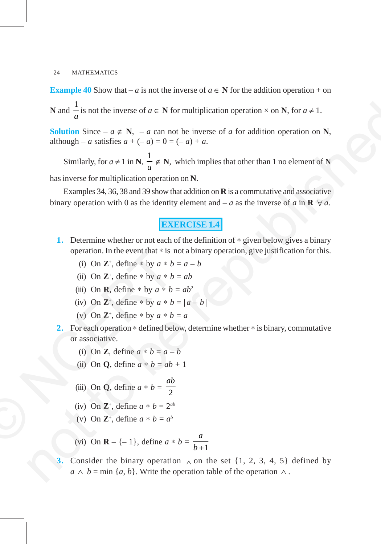**Example 40** Show that – *a* is not the inverse of  $a \in \mathbb{N}$  for the addition operation + on **N** and 1  $\frac{a}{a}$  is not the inverse of *a* ∈ **N** for multiplication operation × on **N**, for *a* ≠ 1.

**Solution** Since –  $a \notin \mathbb{N}$ , –  $a$  can not be inverse of  $a$  for addition operation on  $\mathbb{N}$ , although – *a* satisfies  $a + (-a) = 0 = (-a) + a$ .

Similarly, for  $a \neq 1$  in **N**, 1  $\frac{1}{a} \notin \mathbb{N}$ , which implies that other than 1 no element of N has inverse for multiplication operation on **N**. N and  $\frac{1}{a}$  is not the inverse of  $a \in N$  for multiplication operation  $\times$  on N, for  $a \ne 1$ .<br>
Solution Since  $- a \notin N$ ,  $- a$  can not be inverse of a for addition operation on N,<br>
although  $- a$  satisfies  $a + (-a) = 0 = (-a) + a$ 

Examples 34, 36, 38 and 39 show that addition on **R** is a commutative and associative binary operation with 0 as the identity element and – *a* as the inverse of *a* in  $\mathbf{R} \ \forall a$ .

## **EXERCISE 1.4**

- **1.** Determine whether or not each of the definition of ∗ given below gives a binary operation. In the event that ∗ is not a binary operation, give justification for this.
	- (i) On  $\mathbb{Z}^+$ , define  $*$  by  $a * b = a b$
	- (ii) On  $\mathbb{Z}^+$ , define \* by  $a * b = ab$
	- (iii) On **R**, define \* by  $a * b = ab^2$
	- (iv) On  $\mathbb{Z}^+$ , define \* by  $a * b = |a b|$
	- (v) On  $\mathbb{Z}^+$ , define  $*$  by  $a * b = a$
- **2.** For each operation ∗ defined below, determine whether ∗ is binary, commutative or associative. operation. In the event that \* is r<br>
(i) On Z<sup>+</sup>, define \* by  $a * b$ <br>
(ii) On Z<sup>+</sup>, define \* by  $a * b$ <br>
(iii) On R, define \* by  $a * b$ <br>
(iv) On Z<sup>+</sup>, define \* by  $a * b$ <br>
(v) On Z<sup>+</sup>, define \* by  $a * b$ <br>
(v) On Z<sup>+</sup>, define \* b
	- (i) On **Z**, define  $a * b = a b$
	- (ii) On **Q**, define  $a * b = ab + 1$
	- (iii) On **Q**, define  $a * b = \frac{\pi}{2}$ *ab*
	- (iv) On  $\mathbb{Z}^+$ , define  $a * b = 2^{ab}$
	- (v) On  $\mathbb{Z}^+$ , define  $a * b = a^b$
	- (vi) On **R** {– 1}, define  $a * b = \frac{b}{b+1}$ *a b* +
	- Consider the binary operation  $\wedge$  on the set {1, 2, 3, 4, 5} defined by  $a \wedge b = \min \{a, b\}$ . Write the operation table of the operation  $\wedge$ .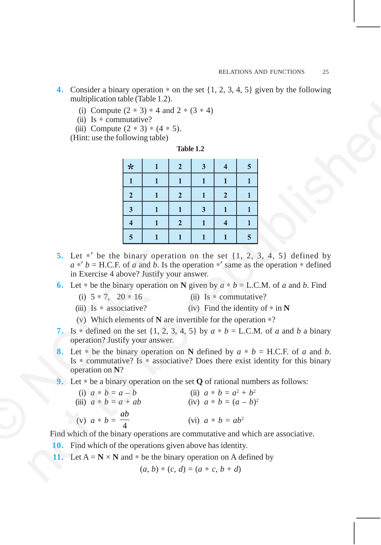- **4.** Consider a binary operation ∗ on the set {1, 2, 3, 4, 5} given by the following multiplication table (Table 1.2).
	- (i) Compute  $(2 * 3) * 4$  and  $2 * (3 * 4)$
	- (ii) Is ∗ commutative?
	- (iii) Compute  $(2 * 3) * (4 * 5)$ .

| able |  |
|------|--|
|------|--|

|                                                                                                                                                                                                                                                                                                                                                                                                                                                                                                                                                                                                                                                                                                                                                                                                                                                                                                                                                                                                                                                                                                                                                                                                                                                                                                               |  | (i) Compute $(2 * 3) * 4$ and $2 * (3 * 4)$<br>(ii) Is $*$ commutative?<br>(iii) Compute $(2 * 3) * (4 * 5)$ .<br>(Hint: use the following table) |                         |                                    |                |              |                         |              |  |
|---------------------------------------------------------------------------------------------------------------------------------------------------------------------------------------------------------------------------------------------------------------------------------------------------------------------------------------------------------------------------------------------------------------------------------------------------------------------------------------------------------------------------------------------------------------------------------------------------------------------------------------------------------------------------------------------------------------------------------------------------------------------------------------------------------------------------------------------------------------------------------------------------------------------------------------------------------------------------------------------------------------------------------------------------------------------------------------------------------------------------------------------------------------------------------------------------------------------------------------------------------------------------------------------------------------|--|---------------------------------------------------------------------------------------------------------------------------------------------------|-------------------------|------------------------------------|----------------|--------------|-------------------------|--------------|--|
|                                                                                                                                                                                                                                                                                                                                                                                                                                                                                                                                                                                                                                                                                                                                                                                                                                                                                                                                                                                                                                                                                                                                                                                                                                                                                                               |  |                                                                                                                                                   |                         |                                    | Table 1.2      |              |                         |              |  |
|                                                                                                                                                                                                                                                                                                                                                                                                                                                                                                                                                                                                                                                                                                                                                                                                                                                                                                                                                                                                                                                                                                                                                                                                                                                                                                               |  |                                                                                                                                                   | ☆                       | $\mathbf{1}$                       | $\overline{2}$ | 3            | $\overline{\mathbf{4}}$ | 5            |  |
|                                                                                                                                                                                                                                                                                                                                                                                                                                                                                                                                                                                                                                                                                                                                                                                                                                                                                                                                                                                                                                                                                                                                                                                                                                                                                                               |  |                                                                                                                                                   | 1                       | $\mathbf{1}$                       | $\mathbf{1}$   | $\mathbf{1}$ | $\mathbf{1}$            | $\mathbf{1}$ |  |
|                                                                                                                                                                                                                                                                                                                                                                                                                                                                                                                                                                                                                                                                                                                                                                                                                                                                                                                                                                                                                                                                                                                                                                                                                                                                                                               |  |                                                                                                                                                   | $\overline{2}$          | 1                                  | $\mathbf{2}$   | 1            | $\mathbf{2}$            | $\mathbf{1}$ |  |
|                                                                                                                                                                                                                                                                                                                                                                                                                                                                                                                                                                                                                                                                                                                                                                                                                                                                                                                                                                                                                                                                                                                                                                                                                                                                                                               |  |                                                                                                                                                   | $\mathbf{3}$            | $\mathbf{1}$                       | $\mathbf{1}$   | 3            | 1                       | $\mathbf{1}$ |  |
|                                                                                                                                                                                                                                                                                                                                                                                                                                                                                                                                                                                                                                                                                                                                                                                                                                                                                                                                                                                                                                                                                                                                                                                                                                                                                                               |  |                                                                                                                                                   | $\overline{\mathbf{4}}$ | 1                                  | $\mathbf{2}$   | $\mathbf{1}$ | $\overline{\mathbf{4}}$ | 1            |  |
|                                                                                                                                                                                                                                                                                                                                                                                                                                                                                                                                                                                                                                                                                                                                                                                                                                                                                                                                                                                                                                                                                                                                                                                                                                                                                                               |  |                                                                                                                                                   | $\overline{\mathbf{5}}$ | $\mathbf{1}$                       | $\mathbf{1}$   | $\mathbf{1}$ | $\mathbf{1}$            | 5            |  |
| 5. Let $*'$ be the binary operation on the set $\{1, 2, 3, 4, 5\}$ defined by<br>$a *' b =$ H.C.F. of a and b. Is the operation $*'$ same as the operation $*$ defined<br>in Exercise 4 above? Justify your answer.<br>6. Let * be the binary operation on N given by $a * b = L.C.M.$ of a and b. Find<br>(i) $5 * 7$ , $20 * 16$<br>(ii) Is $*$ commutative?<br>(iii) Is $*$ associative?<br>(iv) Find the identity of $*$ in N<br>(v) Which elements of $N$ are invertible for the operation $*$ ?<br>7. Is * defined on the set $\{1, 2, 3, 4, 5\}$ by $a * b = L.C.M.$ of a and b a binary<br>operation? Justify your answer.<br>8. Let $*$ be the binary operation on N defined by $a * b = H.C.F.$ of a and b.<br>Is $*$ commutative? Is $*$ associative? Does there exist identity for this binary<br>operation on N?<br>9. Let $*$ be a binary operation on the set $Q$ of rational numbers as follows:<br>(i) $a * b = a - b$<br>(ii) $a * b = a^2 + b^2$<br>(iii) $a * b = a + ab$<br>(iv) $a * b = (a - b)^2$<br>(v) $a * b = \frac{ab}{4}$<br>(vi) $a * b = ab^2$<br>Find which of the binary operations are commutative and which are associative.<br>Find which of the operations given above has identity.<br>10.<br>11. Let $A = N \times N$ and $*$ be the binary operation on A defined by |  |                                                                                                                                                   |                         |                                    |                |              |                         |              |  |
|                                                                                                                                                                                                                                                                                                                                                                                                                                                                                                                                                                                                                                                                                                                                                                                                                                                                                                                                                                                                                                                                                                                                                                                                                                                                                                               |  |                                                                                                                                                   |                         | $(a, b) * (c, d) = (a + c, b + d)$ |                |              |                         |              |  |
|                                                                                                                                                                                                                                                                                                                                                                                                                                                                                                                                                                                                                                                                                                                                                                                                                                                                                                                                                                                                                                                                                                                                                                                                                                                                                                               |  |                                                                                                                                                   |                         |                                    |                |              |                         |              |  |

- **5.** Let ∗′ be the binary operation on the set {1, 2, 3, 4, 5} defined by  $a * b = H.C.F.$  of *a* and *b*. Is the operation \*' same as the operation \* defined in Exercise 4 above? Justify your answer.
- **6.** Let \* be the binary operation on **N** given by  $a * b = L.C.M.$  of *a* and *b*. Find
	- (i)  $5 * 7$ ,  $20 * 16$  (ii) Is  $*$  commutative?
		-
	-
	- (iii) Is ∗ associative? (iv) Find the identity of ∗ in **N**
	- (v) Which elements of **N** are invertible for the operation ∗?
- **7.** Is \* defined on the set  $\{1, 2, 3, 4, 5\}$  by  $a * b = L.C.M.$  of *a* and *b* a binary operation? Justify your answer.
- 8. Let  $*$  be the binary operation on **N** defined by  $a * b = H.C.F.$  of *a* and *b*. Is ∗ commutative? Is ∗ associative? Does there exist identity for this binary operation on **N**?
- **9.** Let ∗ be a binary operation on the set **Q** of rational numbers as follows:

|     | 5. Let $*'$ be the binary operation on the set $\{1, 2, 3, \ldots\}$<br>$a *' b =$ H.C.F. of a and b. Is the operation $*'$ same as the<br>in Exercise 4 above? Justify your answer. |                          |
|-----|--------------------------------------------------------------------------------------------------------------------------------------------------------------------------------------|--------------------------|
|     | 6. Let $*$ be the binary operation on N given by $a * b = L.C$                                                                                                                       |                          |
|     | (i) $5 * 7$ , $20 * 16$                                                                                                                                                              | $(ii)$ Is $*$ commutativ |
|     | (iii) Is $*$ associative?                                                                                                                                                            | (iv) Find the identity   |
|     | (v) Which elements of $N$ are invertible for the operation                                                                                                                           |                          |
|     | 7. Is * defined on the set $\{1, 2, 3, 4, 5\}$ by $a * b = L.C.M$<br>operation? Justify your answer.                                                                                 |                          |
|     | 8. Let $*$ be the binary operation on N defined by $a * b$<br>Is * commutative? Is * associative? Does there exist id<br>operation on $N$ ?                                          |                          |
|     | 9. Let $*$ be a binary operation on the set <b>Q</b> of rational numb                                                                                                                |                          |
|     | (i) $a * b = a - b$                                                                                                                                                                  | (ii) $a * b = a^2 + b^2$ |
|     | (iii) $a * b = a + ab$                                                                                                                                                               | (iv) $a * b = (a - b)^2$ |
|     | (v) $a * b = \frac{ab}{4}$                                                                                                                                                           | (vi) $a * b = ab^2$      |
|     | Find which of the binary operations are commutative and which                                                                                                                        |                          |
| 10- | Find which of the operations given above has identity                                                                                                                                |                          |

- **10.** Find which of the operations given above has identity.
- **11.** Let  $A = N \times N$  and  $*$  be the binary operation on A defined by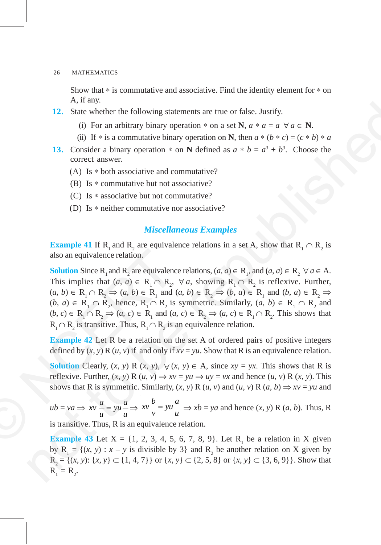Show that ∗ is commutative and associative. Find the identity element for ∗ on A, if any.

- **12.** State whether the following statements are true or false. Justify.
	- (i) For an arbitrary binary operation  $*$  on a set **N**,  $a * a = a \; \forall a \in \mathbb{N}$ .
	- (ii) If \* is a commutative binary operation on **N**, then  $a * (b * c) = (c * b) * a$
- **13.** Consider a binary operation  $*$  on **N** defined as  $a * b = a^3 + b^3$ . Choose the correct answer.
	- (A) Is ∗ both associative and commutative?
	- (B) Is  $*$  commutative but not associative?
	- (C) Is ∗ associative but not commutative?
	- (D) Is ∗ neither commutative nor associative?

## *Miscellaneous Examples*

**Example 41** If R<sub>1</sub> and R<sub>2</sub> are equivalence relations in a set A, show that  $R_1 \cap R_2$  is also an equivalence relation.

**Solution** Since R<sub>1</sub> and R<sub>2</sub> are equivalence relations,  $(a, a) \in R_1$ , and  $(a, a) \in R_2 \ \forall a \in A$ . This implies that  $(a, a) \in R_1 \cap R_2$ ,  $\forall a$ , showing  $R_1 \cap R_2$  is reflexive. Further,  $(a, b) \in R_1 \cap R_2 \Rightarrow (a, b) \in R_1 \text{ and } (a, b) \in R_2 \Rightarrow (b, a) \in R_1 \text{ and } (b, a) \in R_2 \Rightarrow (c, b) \in R_1 \Rightarrow (d, b) \in R_2 \Rightarrow (e, b) \in R_1 \Rightarrow (f, a) \in R_2 \Rightarrow (g, b) \in R_2 \Rightarrow (h, a) \in R_2 \Rightarrow (h, a) \in R_2 \Rightarrow (h, a) \in R_2 \Rightarrow (h, a) \in R_2 \Rightarrow (h, a) \in R_2 \Rightarrow (h, a) \in R_2 \Rightarrow (h, a) \in R_2 \Rightarrow (h, a) \$  $(b, a) \in R_1 \cap R_2$ , hence,  $R_1 \cap R_2$  is symmetric. Similarly,  $(a, b) \in R_1 \cap R_2$  and  $(b, c) \in R_1 \cap R_2 \Rightarrow (a, c) \in R_1$  and  $(a, c) \in R_2 \Rightarrow (a, c) \in R_1 \cap R_2$ . This shows that  $R_1 \cap R_2$  is transitive. Thus,  $R_1 \cap R_2$  is an equivalence relation. also an equivalence relation.<br> **Solution** Since R<sub>1</sub> and R<sub>2</sub> are equivalence This implies that  $(a, a) \in R_1 \cap R_2$ ,<br>  $(a, b) \in R_1 \cap R_2 \Rightarrow (a, b) \in R_1$  and  $(b, a) \in R_1 \cap R_2$  hence,  $R_1 \cap R_2$  is  $(b, c) \in R_1 \cap R_2 \Rightarrow (a, c) \in R_1$  and  $(a$ 12. State whether the following statements are true or false. Justify.<br>
(a) For an achietrary binary operation on on set 3.  $\alpha \times \alpha \times \alpha \in V$  at  $C = \alpha$ .<br>
(a) If  $\alpha$  is a commutative binary operation on N, then  $\alpha \times (\beta \times \alpha$ 

**Example 42** Let R be a relation on the set A of ordered pairs of positive integers defined by  $(x, y)$  R  $(u, v)$  if and only if  $xv = yu$ . Show that R is an equivalence relation.

**Solution** Clearly,  $(x, y)$  R  $(x, y)$ ,  $\forall$   $(x, y) \in A$ , since  $xy = yx$ . This shows that R is reflexive. Further,  $(x, y)$  R  $(u, v) \Rightarrow xv = yu \Rightarrow uy = vx$  and hence  $(u, v)$  R  $(x, y)$ . This shows that R is symmetric. Similarly,  $(x, y)$  R  $(u, v)$  and  $(u, v)$  R  $(a, b) \Rightarrow xv = yu$  and

 $ub = va \Rightarrow xv \frac{a}{u} = yu \frac{a}{u} \Rightarrow$  $xv - \frac{b}{2} = yu - \frac{a}{2}$  $\frac{\partial}{\partial y} = yu \frac{u}{u} \Rightarrow xb = ya$  and hence  $(x, y)$  R  $(a, b)$ . Thus, R is transitive. Thus, R is an equivalence relation.

**Example 43** Let  $X = \{1, 2, 3, 4, 5, 6, 7, 8, 9\}$ . Let  $R_1$  be a relation in X given by  $R_1 = \{(x, y) : x - y \text{ is divisible by } 3\}$  and  $R_2$  be another relation on X given by  $R_2 = \{(x, y): \{x, y\} \subset \{1, 4, 7\}\}\$  or  $\{x, y\} \subset \{2, 5, 8\}$  or  $\{x, y\} \subset \{3, 6, 9\}\}\.$  Show that  $R_1 = R_2.$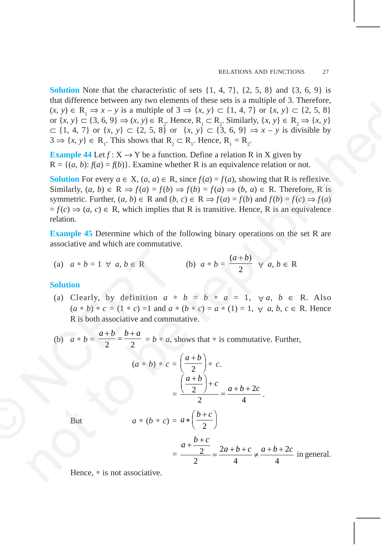**Solution** Note that the characteristic of sets  $\{1, 4, 7\}$ ,  $\{2, 5, 8\}$  and  $\{3, 6, 9\}$  is that difference between any two elements of these sets is a multiple of 3. Therefore,  $(x, y) \in R_1 \Rightarrow x - y$  is a multiple of 3 ⇒  $\{x, y\} \subset \{1, 4, 7\}$  or  $\{x, y\} \subset \{2, 5, 8\}$ or  $\{x, y\} \subset \{3, 6, 9\} \Rightarrow (x, y) \in R_2$ . Hence,  $R_1 \subset R_2$ . Similarly,  $\{x, y\} \in R_2 \Rightarrow \{x, y\}$ ⊂ {1, 4, 7} or {*x*, *y*} ⊂ {2, 5, 8} or {*x*, *y*} ⊂ {3, 6, 9} ⇒ *x* – *y* is divisible by  $3 \Rightarrow \{x, y\} \in R_1$ . This shows that  $R_2 \subset R_1$ . Hence,  $R_1 = R_2$ .

**Example 44** Let  $f: X \to Y$  be a function. Define a relation R in X given by  $R = \{(a, b): f(a) = f(b)\}\$ . Examine whether R is an equivalence relation or not.

**Solution** For every  $a \in X$ ,  $(a, a) \in R$ , since  $f(a) = f(a)$ , showing that R is reflexive. Similarly,  $(a, b) \in \mathbb{R} \Rightarrow f(a) = f(b) \Rightarrow f(b) = f(a) \Rightarrow (b, a) \in \mathbb{R}$ . Therefore, R is symmetric. Further,  $(a, b) \in \mathbb{R}$  and  $(b, c) \in \mathbb{R} \Rightarrow f(a) = f(b)$  and  $f(b) = f(c) \Rightarrow f(a)$  $f(c) \Rightarrow (a, c) \in \mathbb{R}$ , which implies that R is transitive. Hence, R is an equivalence relation. na unitaries between  $\alpha$  by  $\alpha$ ,  $\beta$  can be republished  $\alpha$ . So the republished  $\alpha$  is  $\alpha$ ,  $y \in \mathbb{R}_+$  ( $\alpha$ ,  $y \in \mathbb{R}_+$  ( $\alpha$ ,  $\beta$ )  $\alpha$ ,  $y \in \mathbb{R}_+$  ( $\alpha$ ,  $\beta$ )  $\alpha$ ,  $\beta$  ( $\alpha$ ,  $\beta$ )  $\beta$  ( $\alpha$ ,  $\beta$ )  $\beta$ 

**Example 45** Determine which of the following binary operations on the set R are associative and which are commutative.

(a) 
$$
a * b = 1 \forall a, b \in \mathbb{R}
$$
  
(b)  $a * b = \frac{(a+b)}{2} \forall a, b \in \mathbb{R}$ 

## **Solution**

- (a) Clearly, by definition  $a * b = b * a = 1$ ,  $\forall a, b \in R$ . Also  $(a * b) * c = (1 * c) = 1$  and  $a * (b * c) = a * (1) = 1, \forall a, b, c \in R$ . Hence R is both associative and commutative. (a)  $a * b = 1 \forall a, b \in \mathbb{R}$ <br>
Solution<br>
(a) Clearly, by definition  $a * (a * b) * c = (1 * c) = 1$  and  $a$ <br>
R is both associative and community<br>
(b)  $a * b = \frac{a+b}{2} = \frac{b+a}{2} = b * a$ ,  $(a * b) * c =$ <br>  $=$ <br>
But  $a * (b * c) =$ 
	- (b)  $a * b = \frac{a+b}{2} = \frac{b+a}{2} = b * a$ , shows that \* is commutative. Further,

$$
(a * b) * c = \left(\frac{a+b}{2}\right) * c.
$$

$$
= \frac{\left(\frac{a+b}{2}\right) + c}{2} = \frac{a+b+2c}{4}.
$$

 $a * \left(\frac{b+c}{2}\right)$ 

But  $a * (b * c) = a * \left(\frac{b}{2}\right)$ 

$$
= \frac{a + \frac{b+c}{2}}{2} = \frac{2a+b+c}{4} \neq \frac{a+b+2c}{4}
$$
 in general.

Hence, ∗ is not associative.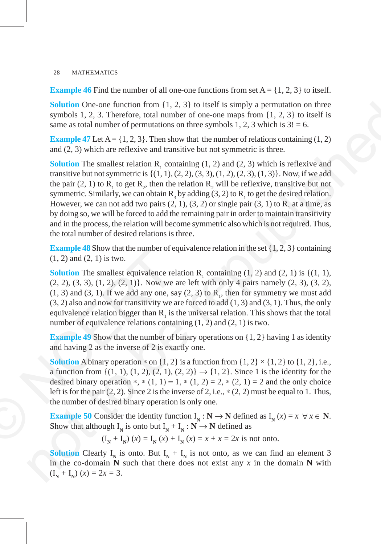**Example 46** Find the number of all one-one functions from set  $A = \{1, 2, 3\}$  to itself.

**Solution** One-one function from {1, 2, 3} to itself is simply a permutation on three symbols 1, 2, 3. Therefore, total number of one-one maps from {1, 2, 3} to itself is same as total number of permutations on three symbols 1, 2, 3 which is  $3! = 6$ .

**Example 47** Let  $A = \{1, 2, 3\}$ . Then show that the number of relations containing  $(1, 2)$ and (2, 3) which are reflexive and transitive but not symmetric is three.

**Solution** The smallest relation  $R_1$  containing (1, 2) and (2, 3) which is reflexive and transitive but not symmetric is  $\{(1, 1), (2, 2), (3, 3), (1, 2), (2, 3), (1, 3)\}\)$ . Now, if we add the pair (2, 1) to  $R_1$  to get  $R_2$ , then the relation  $R_2$  will be reflexive, transitive but not symmetric. Similarly, we can obtain  $R_3$  by adding (3, 2) to  $R_1$  to get the desired relation. However, we can not add two pairs  $(2, 1)$ ,  $(3, 2)$  or single pair  $(3, 1)$  to  $R<sub>1</sub>$  at a time, as by doing so, we will be forced to add the remaining pair in order to maintain transitivity and in the process, the relation will become symmetric also which is not required. Thus, the total number of desired relations is three. Solution One-one function from  $\{1, 2, 3\}$  to liest<br>if s simply a permutation on three symbols 1, 2, 3. Therefore, rotati number of one-one maps from  $\{1, 2, 3\}$  in the<br>site same as telan number of one-one maps from

**Example 48** Show that the number of equivalence relation in the set  $\{1, 2, 3\}$  containing (1, 2) and (2, 1) is two.

**Solution** The smallest equivalence relation  $R_1$  containing (1, 2) and (2, 1) is {(1, 1), (2, 2), (3, 3), (1, 2), (2, 1)}. Now we are left with only 4 pairs namely (2, 3), (3, 2),  $(1, 3)$  and  $(3, 1)$ . If we add any one, say  $(2, 3)$  to  $R<sub>1</sub>$ , then for symmetry we must add  $(3, 2)$  also and now for transitivity we are forced to add  $(1, 3)$  and  $(3, 1)$ . Thus, the only equivalence relation bigger than  $R_1$  is the universal relation. This shows that the total number of equivalence relations containing  $(1, 2)$  and  $(2, 1)$  is two. **Example 46** Show that the number of etc.<br>
(1, 2) and (2, 1) is two.<br> **Solution** The smallest equivalence reference to (2, 2), (3, 3), (1, 2), (2, 1)}. Now we<br>
(1, 3) and (3, 1). If we add any one, satisfy the setcample o

**Example 49** Show that the number of binary operations on  $\{1, 2\}$  having 1 as identity and having 2 as the inverse of 2 is exactly one.

**Solution** A binary operation  $*$  on  $\{1, 2\}$  is a function from  $\{1, 2\} \times \{1, 2\}$  to  $\{1, 2\}$ , i.e., a function from  $\{(1, 1), (1, 2), (2, 1), (2, 2)\}\rightarrow \{1, 2\}$ . Since 1 is the identity for the desired binary operation \*, \*  $(1, 1) = 1$ , \*  $(1, 2) = 2$ , \*  $(2, 1) = 2$  and the only choice left is for the pair  $(2, 2)$ . Since 2 is the inverse of 2, i.e.,  $*(2, 2)$  must be equal to 1. Thus, the number of desired binary operation is only one.

**Example 50** Consider the identity function  $I_N : N \to N$  defined as  $I_N(x) = x \ \forall x \in N$ . Show that although  $I_N$  is onto but  $I_N + I_N : N \to N$  defined as

$$
(I_N + I_N)(x) = I_N(x) + I_N(x) = x + x = 2x
$$
 is not onto.

**Solution** Clearly  $I_N$  is onto. But  $I_N + I_N$  is not onto, as we can find an element 3 in the co-domain **N** such that there does not exist any *x* in the domain **N** with  $(I_{N} + I_{N}) (x) = 2x = 3.$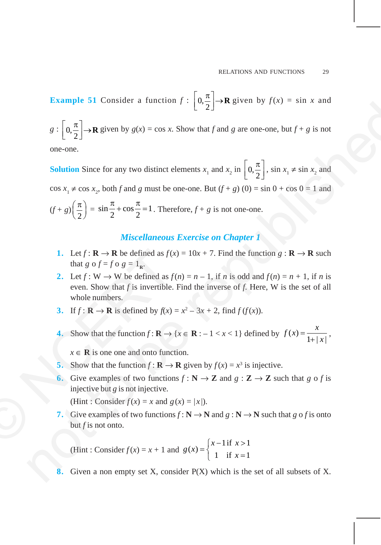**Example 51** Consider a function  $f: \left[0, \frac{\pi}{2}\right] \to \mathbf{R}$  given by  $f(x) = \sin x$  and

 $g: \left[0, \frac{\pi}{2}\right] \to \mathbf{R}$  given by  $g(x) = \cos x$ . Show that *f* and *g* are one-one, but  $f + g$  is not

one-one.

**Solution** Since for any two distinct elements  $x_1$  and  $x_2$  in  $\left[0, \frac{\pi}{2}\right]$ , sin  $x_1 \neq \sin x_2$  and  $\cos x_1 \neq \cos x_2$ , both *f* and *g* must be one-one. But  $(f + g)(0) = \sin 0 + \cos 0 = 1$  and  $(f+g)\left(\frac{\pi}{2}\right) = \sin\frac{\pi}{2} + \cos\frac{\pi}{2} = 1$  $\frac{\pi}{2} + \cos \frac{\pi}{2} = 1$ . Therefore,  $f + g$  is not one-one. **Example 31 Consider a function**  $f : [u_2] \rightarrow R$  **given by**  $f(x) = \sin x$  **and<br>**  $g : [0, \frac{\pi}{2}] \rightarrow R$  **given by**  $g(x) = \cos x$ **. Show that f and g are one-one, but f i g is not<br>
one-one.<br>
Solution Since for any two dissinct elements**  $x_1$  **and** 

## *Miscellaneous Exercise on Chapter 1*

- **1.** Let  $f : \mathbf{R} \to \mathbf{R}$  be defined as  $f(x) = 10x + 7$ . Find the function  $g : \mathbf{R} \to \mathbf{R}$  such that *g* o  $f = f \circ g = 1_R$ .
- 2. Let  $f: W \to W$  be defined as  $f(n) = n 1$ , if *n* is odd and  $f(n) = n + 1$ , if *n* is even. Show that *f* is invertible. Find the inverse of *f*. Here, W is the set of all whole numbers. 1. Let  $f : \mathbf{R} \to \mathbf{R}$  be defined as  $f(x)$ <br>that  $g \circ f = f \circ g = 1_{\mathbf{R}}$ .<br>2. Let  $f : \mathbf{W} \to \mathbf{W}$  be defined as  $f(x)$ <br>even. Show that  $f$  is invertible.<br>whole numbers.<br>3. If  $f : \mathbf{R} \to \mathbf{R}$  is defined by  $f(x) =$ <br>4. Sh
	- **3.** If  $f: \mathbb{R} \to \mathbb{R}$  is defined by  $f(x) = x^2 3x + 2$ , find  $f(f(x))$ .
	- **4.** Show that the function  $f : \mathbf{R} \to \{x \in \mathbf{R} : -1 < x < 1\}$  defined by  $f(x) = \frac{x}{1+|x|}$ ,

 $x \in \mathbb{R}$  is one one and onto function.

- **5.** Show that the function  $f : \mathbf{R} \to \mathbf{R}$  given by  $f(x) = x^3$  is injective.
- **6.** Give examples of two functions  $f: \mathbb{N} \to \mathbb{Z}$  and  $g: \mathbb{Z} \to \mathbb{Z}$  such that g o f is injective but *g* is not injective.

(Hint : Consider  $f(x) = x$  and  $g(x) = |x|$ ).

**7.** Give examples of two functions  $f : \mathbb{N} \to \mathbb{N}$  and  $g : \mathbb{N} \to \mathbb{N}$  such that  $g \circ f$  is onto but *f* is not onto.

(Hint : Consider  $f(x) = x + 1$  and 1 if  $x > 1$  $f(x) = \begin{cases} x^2 + 1 & \text{if } x = 1 \\ 1 & \text{if } x = 1 \end{cases}$  $x-1$  if x *g x*  $=\begin{cases} x-1 \text{ if } x > \\ 1 \text{ if } x = \end{cases}$  $\begin{cases} 1 & \text{if } x = \end{cases}$ 

Given a non empty set X, consider P(X) which is the set of all subsets of X.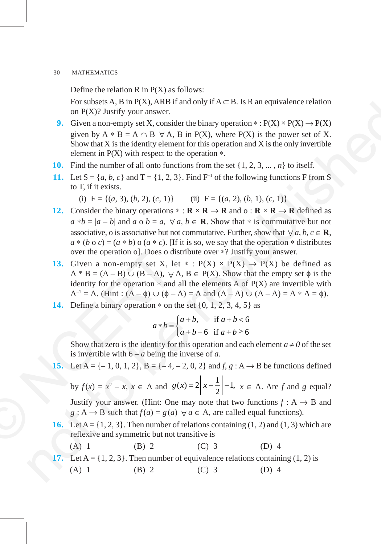Define the relation  $R$  in  $P(X)$  as follows:

For subsets A, B in P(X), ARB if and only if  $A \subset B$ . Is R an equivalence relation on  $P(X)$ ? Justify your answer.

- **9.** Given a non-empty set X, consider the binary operation \*:  $P(X) \times P(X) \rightarrow P(X)$ given by  $A * B = A \cap B \ \forall A, B$  in P(X), where P(X) is the power set of X. Show that  $X$  is the identity element for this operation and  $X$  is the only invertible element in  $P(X)$  with respect to the operation  $*$ .
- **10.** Find the number of all onto functions from the set {1, 2, 3, ... , *n*} to itself.
- **11.** Let  $S = \{a, b, c\}$  and  $T = \{1, 2, 3\}$ . Find  $F^{-1}$  of the following functions F from S to T, if it exists.
	- (i)  $F = \{(a, 3), (b, 2), (c, 1)\}$  (ii)  $F = \{(a, 2), (b, 1), (c, 1)\}$
- **12.** Consider the binary operations  $* : \mathbb{R} \times \mathbb{R} \to \mathbb{R}$  and o :  $\mathbb{R} \times \mathbb{R} \to \mathbb{R}$  defined as  $a * b = |a - b|$  and  $a \circ b = a$ ,  $\forall a, b \in \mathbb{R}$ . Show that  $*$  is commutative but not associative, o is associative but not commutative. Further, show that  $\forall a, b, c \in \mathbb{R}$ ,  $a * (b \circ c) = (a * b) \circ (a * c)$ . [If it is so, we say that the operation  $*$  distributes over the operation o]. Does o distribute over ∗? Justify your answer. For same one and the relation of  $\sum_{i=1}^{\infty} A_i$  in  $\sum_{i=1}^{\infty} A_i$ . The relation of  $\sum_{i=1}^{\infty} A_i$  and  $\sum_{i=1}^{\infty} A_i$  and  $\sum_{i=1}^{\infty} A_i$  and  $\sum_{i=1}^{\infty} A_i$  and  $\sum_{i=1}^{\infty} A_i$  and  $\sum_{i=1}^{\infty} A_i$  and  $\sum_{i=1}$
- **13.** Given a non-empty set X, let \*:  $P(X) \times P(X) \rightarrow P(X)$  be defined as  $A * B = (A - B) \cup (B - A), \forall A, B \in P(X)$ . Show that the empty set  $\phi$  is the identity for the operation  $*$  and all the elements A of  $P(X)$  are invertible with  $A^{-1} = A$ . (Hint:  $(A - \phi) \cup (\phi - A) = A$  and  $(A - A) \cup (A - A) = A * A = \phi$ ). over the operation o]. Does o di<br>
13. Given a non-empty set X, 1<br>
A \* B = (A – B) ∪ (B – A), ∀<br>
identity for the operation \* and<br>
A<sup>-1</sup> = A. (Hint : (A –  $\phi$ ) ∪ ( $\phi$  –<br>
14. Define a binary operation \* on t<br>  $a * b =$ <br>
Sho
	- **14.** Define a binary operation <sup>∗</sup> on the set {0, 1, 2, 3, 4, 5} as

$$
a * b = \begin{cases} a+b, & \text{if } a+b < 6 \\ a+b-6 & \text{if } a+b \ge 6 \end{cases}
$$

Show that zero is the identity for this operation and each element  $a \neq 0$  of the set is invertible with 6 – *a* being the inverse of *a*.

**15.** Let  $A = \{-1, 0, 1, 2\}$ ,  $B = \{-4, -2, 0, 2\}$  and  $f, g: A \rightarrow B$  be functions defined by  $f(x) = x^2 - x$ ,  $x \in A$  and  $g(x) = 2\left| x - \frac{1}{2} \right| - 1$ ,  $x \in A$ . Are *f* and *g* equal?

Justify your answer. (Hint: One may note that two functions  $f: A \rightarrow B$  and *g* : A  $\rightarrow$  B such that  $f(a) = g(a) \forall a \in A$ , are called equal functions).

**16.** Let  $A = \{1, 2, 3\}$ . Then number of relations containing  $(1, 2)$  and  $(1, 3)$  which are reflexive and symmetric but not transitive is

(A) 1 (B) 2 (C) 3 (D) 4

**17.** Let  $A = \{1, 2, 3\}$ . Then number of equivalence relations containing  $(1, 2)$  is (A) 1 (B) 2 (C) 3 (D) 4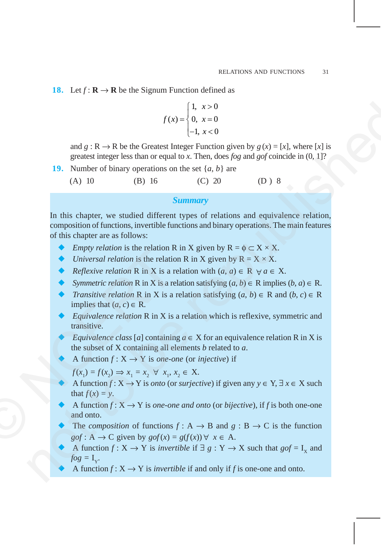**18.** Let  $f: \mathbf{R} \to \mathbf{R}$  be the Signum Function defined as

$$
f(x) = \begin{cases} 1, & x > 0 \\ 0, & x = 0 \\ -1, & x < 0 \end{cases}
$$

and  $g : \mathbb{R} \to \mathbb{R}$  be the Greatest Integer Function given by  $g(x) = [x]$ , where [x] is greatest integer less than or equal to *x*. Then, does *fog* and *gof* coincide in (0, 1]?

**19.** Number of binary operations on the set {*a*, *b*} are

(A) 10 (B) 16 (C) 20 (D ) 8

## *Summary*

In this chapter, we studied different types of relations and equivalence relation, composition of functions, invertible functions and binary operations. The main features of this chapter are as follows: (1. a > 0<br>  $f(x) = \begin{cases} 1, & x > 0 \\ 0, & x = 0 \end{cases}$ <br>
and  $g : \mathbb{R} \to \mathbb{R}$  be the Greater linear Function given by  $g(x) = [x]$ , where [x] is<br>
greatest integer less than or equal to x. Then, does *for*, and *ged* coincide in (0, 1

- *Empty relation* is the relation R in X given by  $R = \phi \subset X \times X$ .
- *Universal relation* is the relation R in X given by  $R = X \times X$ .
- *Reflexive relation* R in X is a relation with  $(a, a) \in R \ \forall a \in X$ .
- *Symmetric relation* R in X is a relation satisfying  $(a, b) \in R$  implies  $(b, a) \in R$ .
- *Transitive relation* R in X is a relation satisfying  $(a, b) \in R$  and  $(b, c) \in R$ implies that  $(a, c) \in \mathbb{R}$ .
- *Equivalence relation* R in X is a relation which is reflexive, symmetric and transitive.
- *Equivalence class* [*a*] containing  $a \in X$  for an equivalence relation R in X is the subset of X containing all elements *b* related to *a*.
- A function  $f: X \to Y$  is *one-one* (or *injective*) if

$$
f(x_1) = f(x_2) \Rightarrow x_1 = x_2 \quad \forall \quad x_1, x_2 \in X.
$$

- A function *f* :  $X \rightarrow Y$  is *onto* (or *surjective*) if given any  $y \in Y$ ,  $\exists x \in X$  such that  $f(x) = y$ .
- A function  $f: X \to Y$  is *one-one and onto* (or *bijective*), if *f* is both one-one and onto.
- The *composition* of functions  $f: A \rightarrow B$  and  $g: B \rightarrow C$  is the function *gof* : A  $\rightarrow$  C given by *gof*(*x*) = *g*( $f(x)$ )  $\forall$   $x \in$  A. Empty relation is the relation is<br>  $V$  Driversal relation is the relation<br>  $\overrightarrow{R}$  R in X is a r<br>  $\overrightarrow{S}$  Symmetric relation R in X is a r<br>  $\overrightarrow{S}$  Transitive relation R in X is a<br>
implies that  $(a, c) \in R$ .<br>  $Equivalence$  relatio
	- A function *f* :  $X \rightarrow Y$  is *invertible* if  $\exists g : Y \rightarrow X$  such that  $gof = I_x$  and  $fog = I_v$ .
	- A function  $f: X \to Y$  is *invertible* if and only if f is one-one and onto.